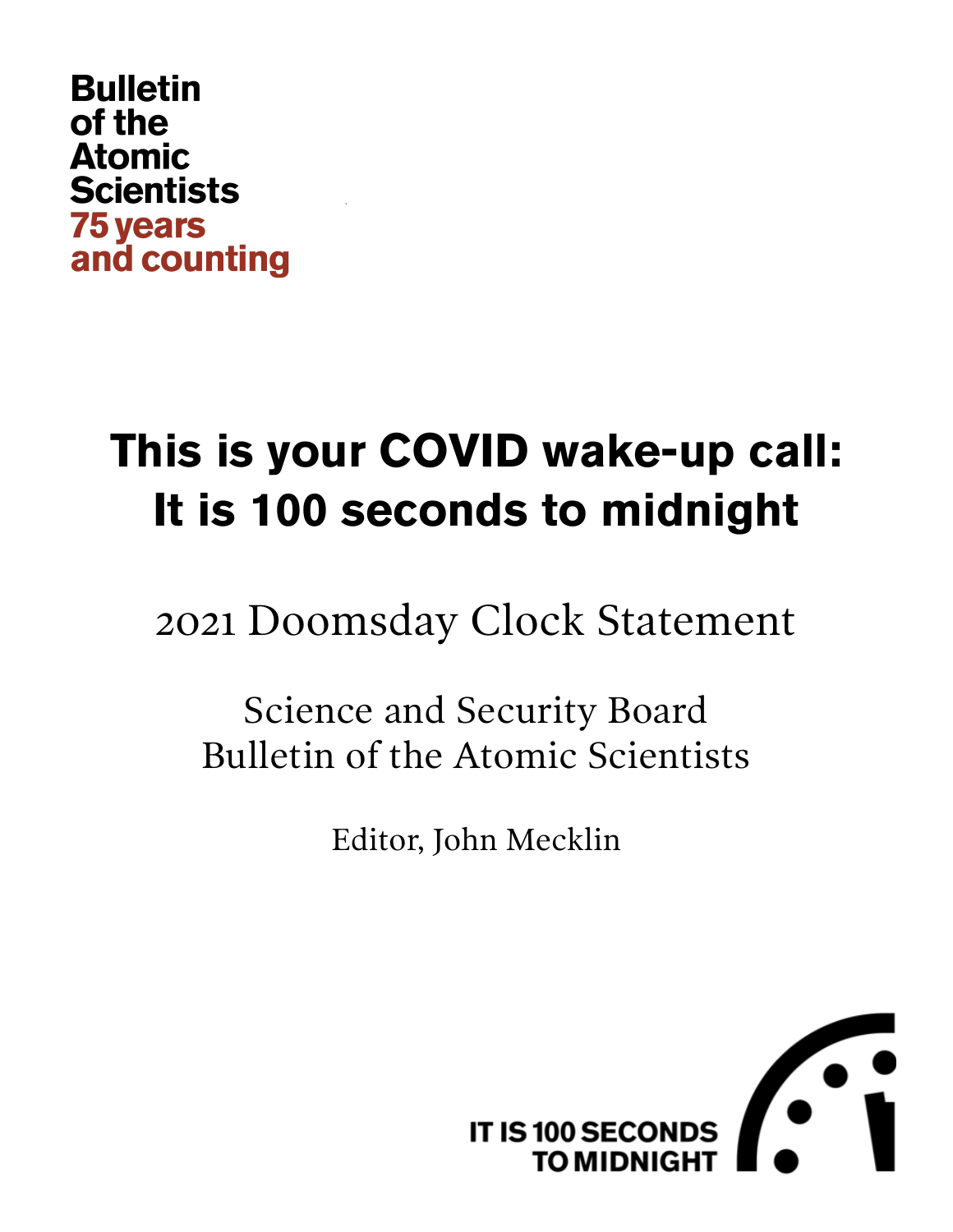## **Bulletin** of the **Atomic Scientists 75 years** and counting

# **This is your COVID wake-up call: It is 100 seconds to midnight**

2021 Doomsday Clock Statement

Science and Security Board Bulletin of the Atomic Scientists

Editor, John Mecklin

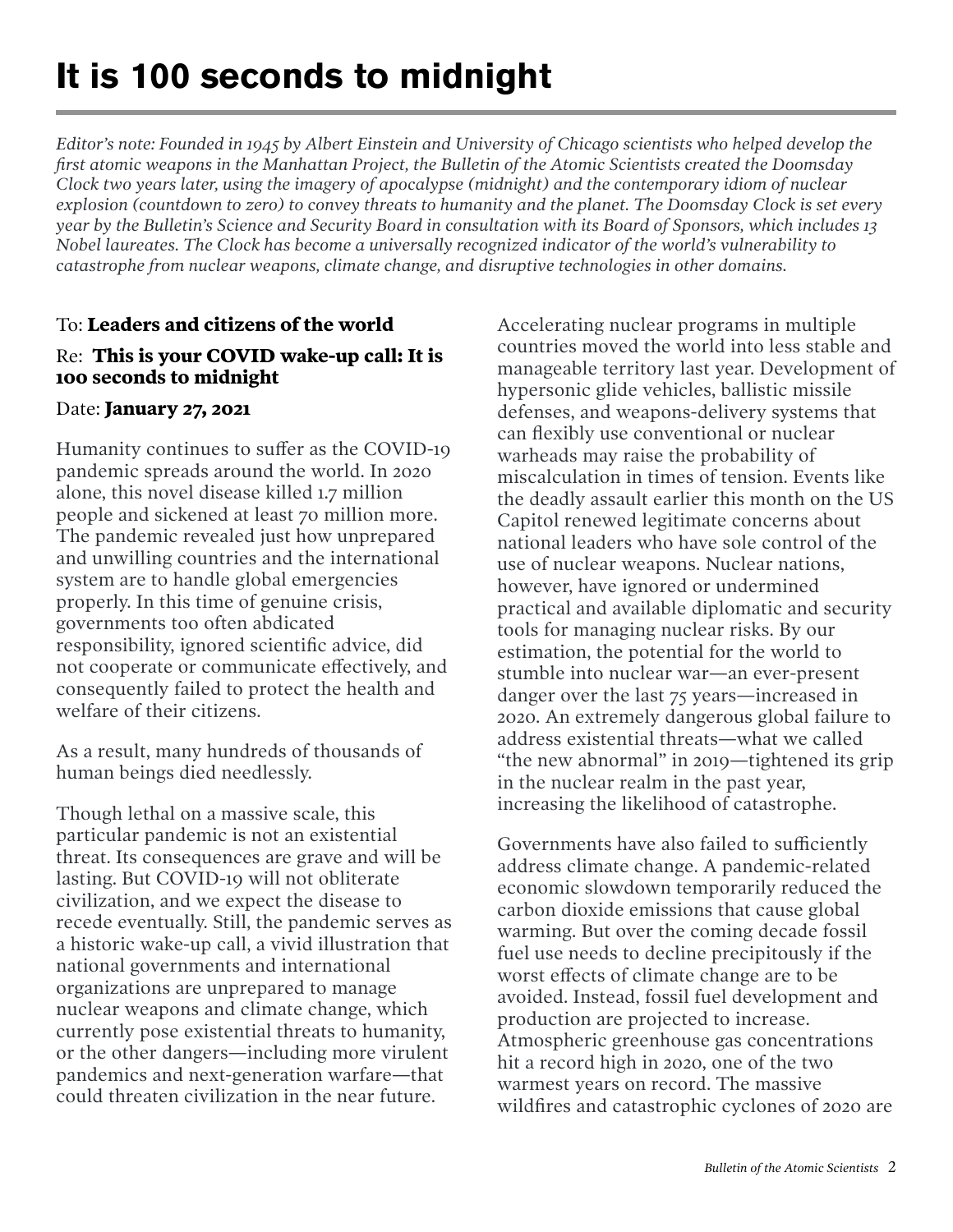# **It is 100 seconds to midnight**

*Editor's note: Founded in 1945 by Albert Einstein and University of Chicago scientists who helped develop the first atomic weapons in the Manhattan Project, the Bulletin of the Atomic Scientists created the Doomsday Clock two years later, using the imagery of apocalypse (midnight) and the contemporary idiom of nuclear explosion (countdown to zero) to convey threats to humanity and the planet. The Doomsday Clock is set every year by the Bulletin's Science and Security Board in consultation with its Board of Sponsors, which includes 13 Nobel laureates. The Clock has become a universally recognized indicator of the world's vulnerability to catastrophe from nuclear weapons, climate change, and disruptive technologies in other domains.*

#### To: **Leaders and citizens of the world**

#### Re: **This is your COVID wake-up call: It is 100 seconds to midnight**

#### Date: **January 27, 2021**

Humanity continues to suffer as the COVID-19 pandemic spreads around the world. In 2020 alone, this novel disease killed 1.7 million people and sickened at least 70 million more. The pandemic revealed just how unprepared and unwilling countries and the international system are to handle global emergencies properly. In this time of genuine crisis, governments too often abdicated responsibility, ignored scientific advice, did not cooperate or communicate effectively, and consequently failed to protect the health and welfare of their citizens.

As a result, many hundreds of thousands of human beings died needlessly.

Though lethal on a massive scale, this particular pandemic is not an existential threat. Its consequences are grave and will be lasting. But COVID-19 will not obliterate civilization, and we expect the disease to recede eventually. Still, the pandemic serves as a historic wake-up call, a vivid illustration that national governments and international organizations are unprepared to manage nuclear weapons and climate change, which currently pose existential threats to humanity, or the other dangers—including more virulent pandemics and next-generation warfare—that could threaten civilization in the near future.

Accelerating nuclear programs in multiple countries moved the world into less stable and manageable territory last year. Development of hypersonic glide vehicles, ballistic missile defenses, and weapons-delivery systems that can flexibly use conventional or nuclear warheads may raise the probability of miscalculation in times of tension. Events like the deadly assault earlier this month on the US Capitol renewed legitimate concerns about national leaders who have sole control of the use of nuclear weapons. Nuclear nations, however, have ignored or undermined practical and available diplomatic and security tools for managing nuclear risks. By our estimation, the potential for the world to stumble into nuclear war—an ever-present danger over the last 75 years—increased in 2020. An extremely dangerous global failure to address existential threats—what we called "the new abnormal" in 2019—tightened its grip in the nuclear realm in the past year, increasing the likelihood of catastrophe.

Governments have also failed to sufficiently address climate change. A pandemic-related economic slowdown temporarily reduced the carbon dioxide emissions that cause global warming. But over the coming decade fossil fuel use needs to decline precipitously if the worst effects of climate change are to be avoided. Instead, fossil fuel development and production are projected to increase. Atmospheric greenhouse gas concentrations hit a record high in 2020, one of the two warmest years on record. The massive wildfires and catastrophic cyclones of 2020 are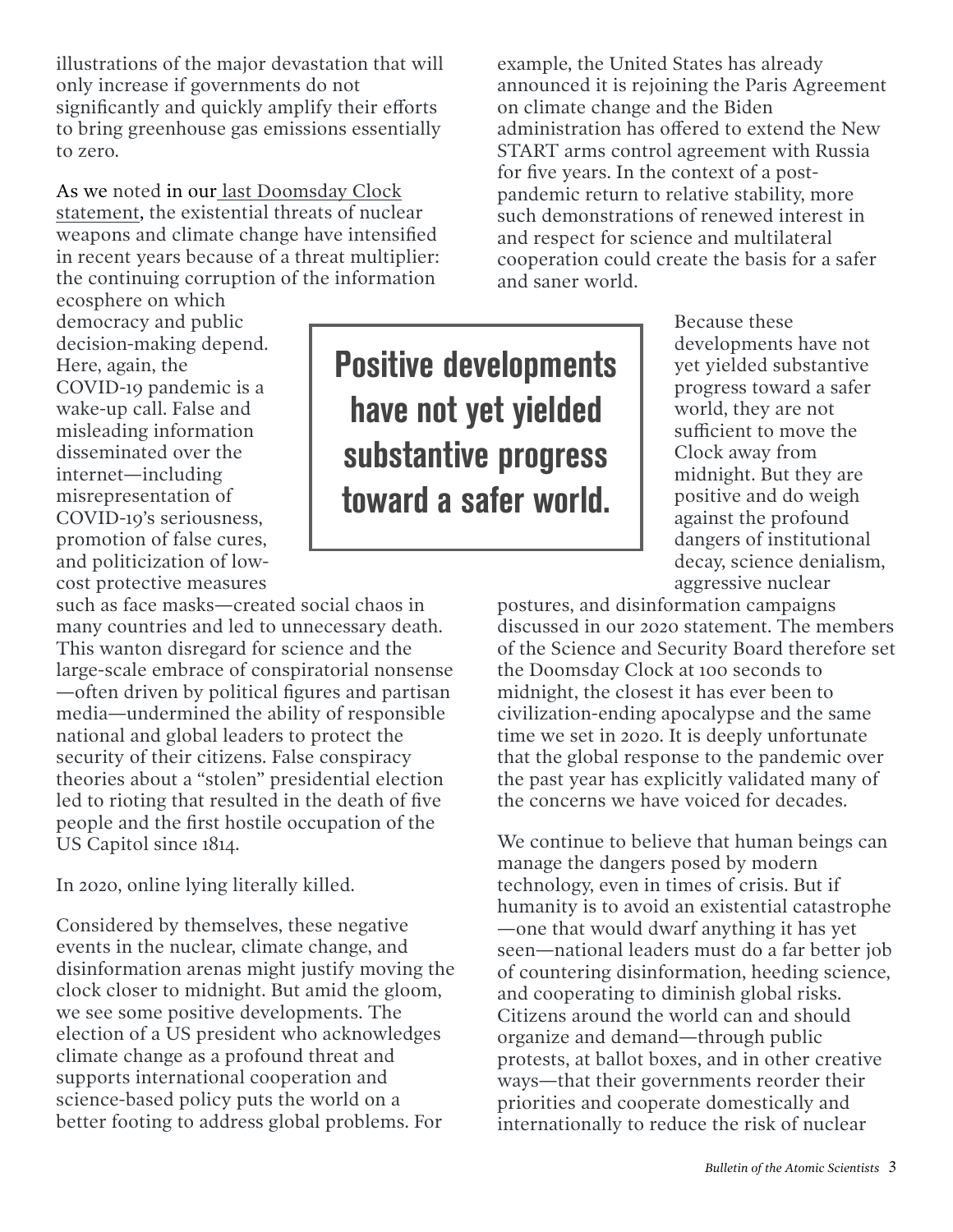illustrations of the major devastation that will only increase if governments do not significantly and quickly amplify their efforts to bring greenhouse gas emissions essentially to zero.

As we noted in our [last Doomsday Clock](https://thebulletin.org/doomsday-clock/current-time/)  [statement,](https://thebulletin.org/doomsday-clock/current-time/) the existential threats of nuclear weapons and climate change have intensified in recent years because of a threat multiplier: the continuing corruption of the information

ecosphere on which democracy and public decision-making depend. Here, again, the COVID-19 pandemic is a wake-up call. False and misleading information disseminated over the internet—including misrepresentation of COVID-19's seriousness, promotion of false cures, and politicization of lowcost protective measures

such as face masks—created social chaos in many countries and led to unnecessary death. This wanton disregard for science and the large-scale embrace of conspiratorial nonsense —often driven by political figures and partisan media—undermined the ability of responsible national and global leaders to protect the security of their citizens. False conspiracy theories about a "stolen" presidential election led to rioting that resulted in the death of five people and the first hostile occupation of the US Capitol since 1814.

In 2020, online lying literally killed.

Considered by themselves, these negative events in the nuclear, climate change, and disinformation arenas might justify moving the clock closer to midnight. But amid the gloom, we see some positive developments. The election of a US president who acknowledges climate change as a profound threat and supports international cooperation and science-based policy puts the world on a better footing to address global problems. For

example, the United States has already announced it is rejoining the Paris Agreement on climate change and the Biden administration has offered to extend the New START arms control agreement with Russia for five years. In the context of a postpandemic return to relative stability, more such demonstrations of renewed interest in and respect for science and multilateral cooperation could create the basis for a safer and saner world.

Positive developments have not yet yielded substantive progress toward a safer world.

Because these developments have not yet yielded substantive progress toward a safer world, they are not sufficient to move the Clock away from midnight. But they are positive and do weigh against the profound dangers of institutional decay, science denialism, aggressive nuclear

postures, and disinformation campaigns discussed in our 2020 statement. The members of the Science and Security Board therefore set the Doomsday Clock at 100 seconds to midnight, the closest it has ever been to civilization-ending apocalypse and the same time we set in 2020. It is deeply unfortunate that the global response to the pandemic over the past year has explicitly validated many of the concerns we have voiced for decades.

We continue to believe that human beings can manage the dangers posed by modern technology, even in times of crisis. But if humanity is to avoid an existential catastrophe —one that would dwarf anything it has yet seen—national leaders must do a far better job of countering disinformation, heeding science, and cooperating to diminish global risks. Citizens around the world can and should organize and demand—through public protests, at ballot boxes, and in other creative ways—that their governments reorder their priorities and cooperate domestically and internationally to reduce the risk of nuclear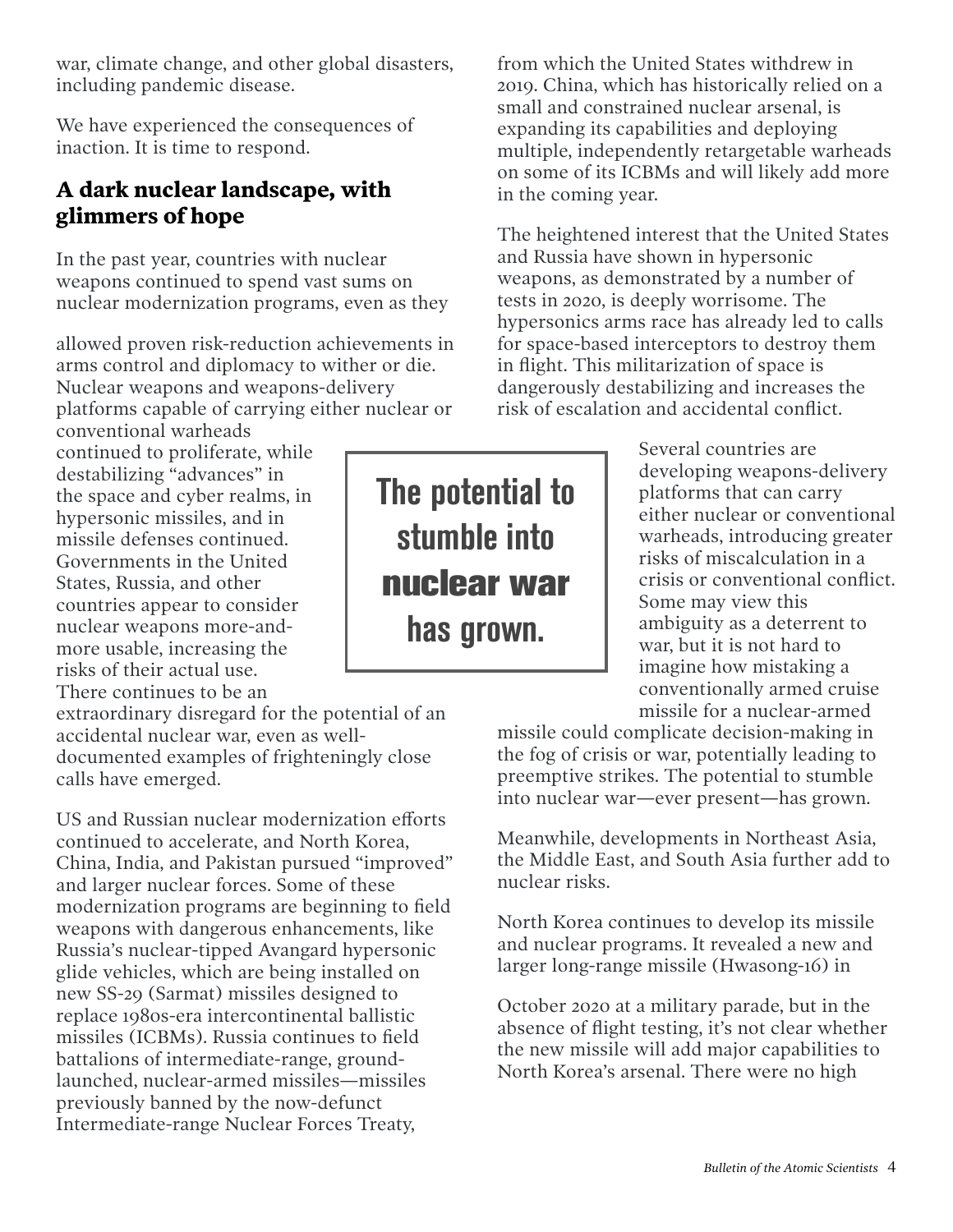war, climate change, and other global disasters, including pandemic disease.

We have experienced the consequences of inaction. It is time to respond.

#### **A dark nuclear landscape, with glimmers of hope**

In the past year, countries with nuclear weapons continued to spend vast sums on nuclear modernization programs, even as they

allowed proven risk-reduction achievements in arms control and diplomacy to wither or die. Nuclear weapons and weapons-delivery platforms capable of carrying either nuclear or

conventional warheads continued to proliferate, while destabilizing "advances" in the space and cyber realms, in hypersonic missiles, and in missile defenses continued. Governments in the United States, Russia, and other countries appear to consider nuclear weapons more-andmore usable, increasing the risks of their actual use. There continues to be an

extraordinary disregard for the potential of an accidental nuclear war, even as welldocumented examples of frighteningly close calls have emerged.

US and Russian nuclear modernization efforts continued to accelerate, and North Korea, China, India, and Pakistan pursued "improved" and larger nuclear forces. Some of these modernization programs are beginning to field weapons with dangerous enhancements, like Russia's nuclear-tipped Avangard hypersonic glide vehicles, which are being installed on new SS-29 (Sarmat) missiles designed to replace 1980s-era intercontinental ballistic missiles (ICBMs). Russia continues to field battalions of intermediate-range, groundlaunched, nuclear-armed missiles—missiles previously banned by the now-defunct Intermediate-range Nuclear Forces Treaty,

from which the United States withdrew in 2019. China, which has historically relied on a small and constrained nuclear arsenal, is expanding its capabilities and deploying multiple, independently retargetable warheads on some of its ICBMs and will likely add more in the coming year.

The heightened interest that the United States and Russia have shown in hypersonic weapons, as demonstrated by a number of tests in 2020, is deeply worrisome. The hypersonics arms race has already led to calls for space-based interceptors to destroy them in flight. This militarization of space is dangerously destabilizing and increases the risk of escalation and accidental conflict.

> Several countries are developing weapons-delivery platforms that can carry either nuclear or conventional warheads, introducing greater risks of miscalculation in a crisis or conventional conflict. Some may view this ambiguity as a deterrent to war, but it is not hard to imagine how mistaking a conventionally armed cruise missile for a nuclear-armed

missile could complicate decision-making in the fog of crisis or war, potentially leading to preemptive strikes. The potential to stumble into nuclear war—ever present—has grown.

Meanwhile, developments in Northeast Asia, the Middle East, and South Asia further add to nuclear risks.

North Korea continues to develop its missile and nuclear programs. It revealed a new and larger long-range missile (Hwasong-16) in

October 2020 at a military parade, but in the absence of flight testing, it's not clear whether the new missile will add major capabilities to North Korea's arsenal. There were no high

The potential to stumble into **nuclear war** has grown.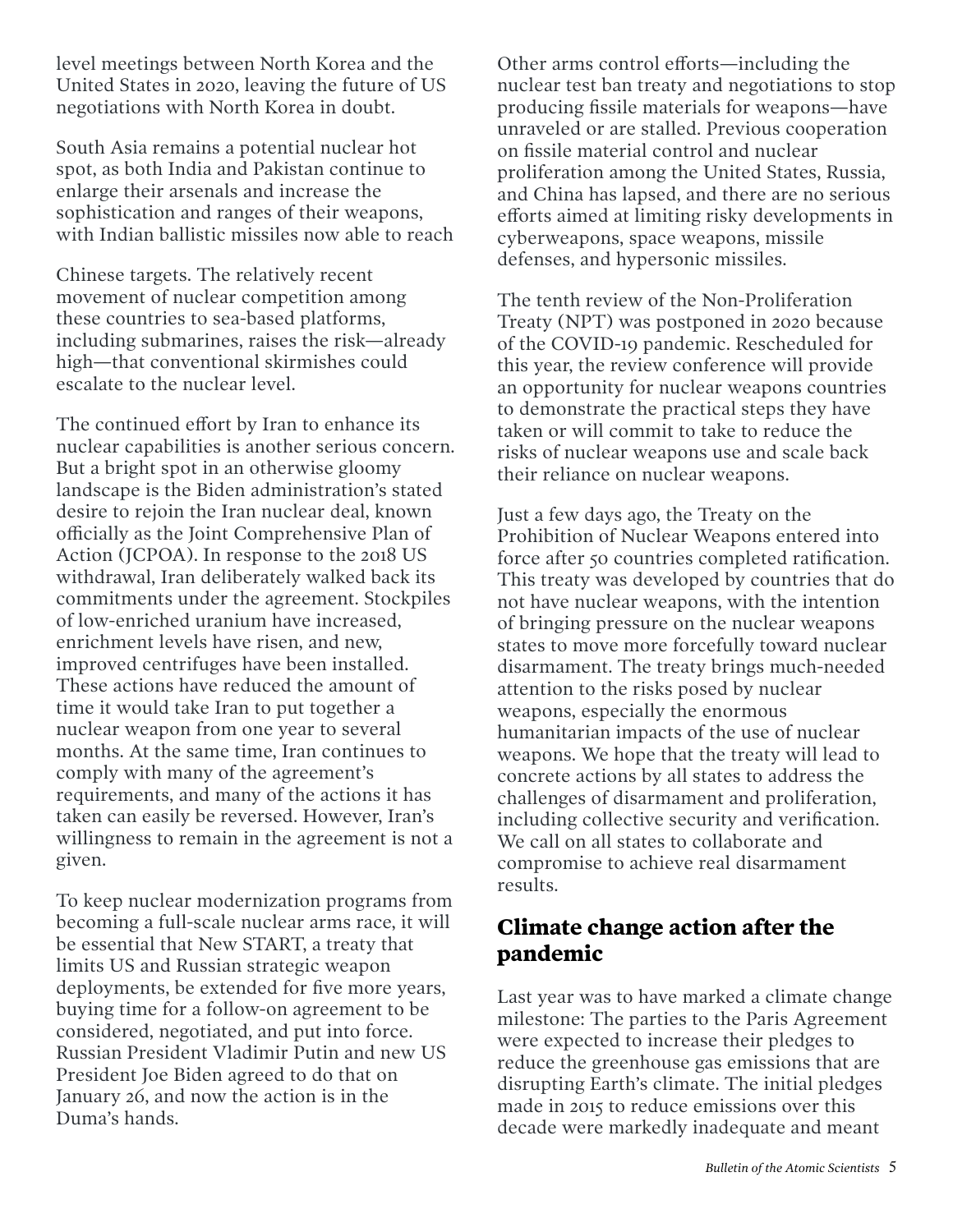level meetings between North Korea and the United States in 2020, leaving the future of US negotiations with North Korea in doubt.

South Asia remains a potential nuclear hot spot, as both India and Pakistan continue to enlarge their arsenals and increase the sophistication and ranges of their weapons, with Indian ballistic missiles now able to reach

Chinese targets. The relatively recent movement of nuclear competition among these countries to sea-based platforms, including submarines, raises the risk—already high—that conventional skirmishes could escalate to the nuclear level.

The continued effort by Iran to enhance its nuclear capabilities is another serious concern. But a bright spot in an otherwise gloomy landscape is the Biden administration's stated desire to rejoin the Iran nuclear deal, known officially as the Joint Comprehensive Plan of Action (JCPOA). In response to the 2018 US withdrawal, Iran deliberately walked back its commitments under the agreement. Stockpiles of low-enriched uranium have increased, enrichment levels have risen, and new, improved centrifuges have been installed. These actions have reduced the amount of time it would take Iran to put together a nuclear weapon from one year to several months. At the same time, Iran continues to comply with many of the agreement's requirements, and many of the actions it has taken can easily be reversed. However, Iran's willingness to remain in the agreement is not a given.

To keep nuclear modernization programs from becoming a full-scale nuclear arms race, it will be essential that New START, a treaty that limits US and Russian strategic weapon deployments, be extended for five more years, buying time for a follow-on agreement to be considered, negotiated, and put into force. Russian President Vladimir Putin and new US President Joe Biden agreed to do that on January 26, and now the action is in the Duma's hands.

Other arms control efforts—including the nuclear test ban treaty and negotiations to stop producing fissile materials for weapons—have unraveled or are stalled. Previous cooperation on fissile material control and nuclear proliferation among the United States, Russia, and China has lapsed, and there are no serious efforts aimed at limiting risky developments in cyberweapons, space weapons, missile defenses, and hypersonic missiles.

The tenth review of the Non-Proliferation Treaty (NPT) was postponed in 2020 because of the COVID-19 pandemic. Rescheduled for this year, the review conference will provide an opportunity for nuclear weapons countries to demonstrate the practical steps they have taken or will commit to take to reduce the risks of nuclear weapons use and scale back their reliance on nuclear weapons.

Just a few days ago, the Treaty on the Prohibition of Nuclear Weapons entered into force after 50 countries completed ratification. This treaty was developed by countries that do not have nuclear weapons, with the intention of bringing pressure on the nuclear weapons states to move more forcefully toward nuclear disarmament. The treaty brings much-needed attention to the risks posed by nuclear weapons, especially the enormous humanitarian impacts of the use of nuclear weapons. We hope that the treaty will lead to concrete actions by all states to address the challenges of disarmament and proliferation, including collective security and verification. We call on all states to collaborate and compromise to achieve real disarmament results.

#### **Climate change action after the pandemic**

Last year was to have marked a climate change milestone: The parties to the Paris Agreement were expected to increase their pledges to reduce the greenhouse gas emissions that are disrupting Earth's climate. The initial pledges made in 2015 to reduce emissions over this decade were markedly inadequate and meant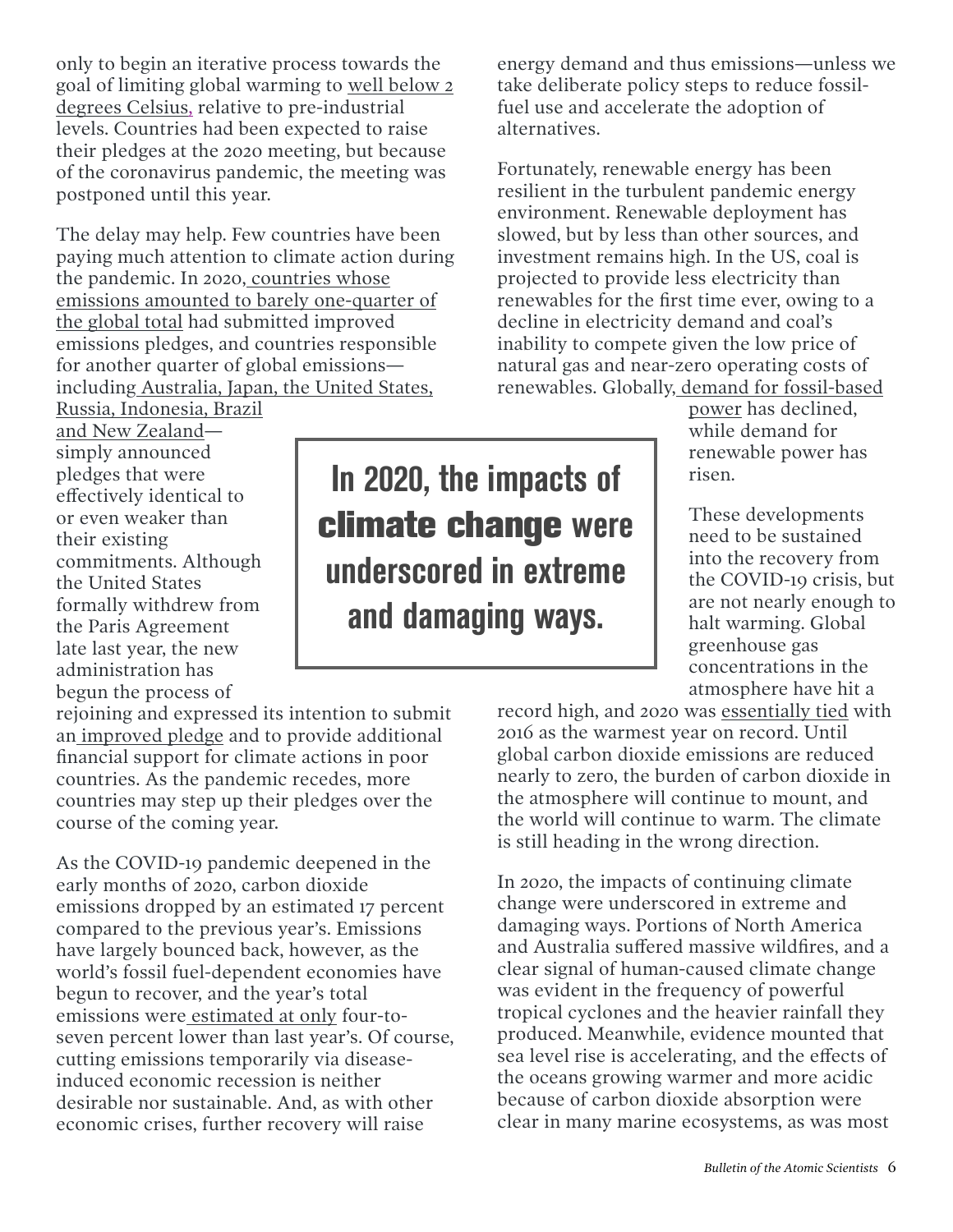only to begin an iterative process towards the goal of limiting global warming to [well below 2](https://www.unep.org/emissions-gap-report-2020)  [degrees Celsius](https://www.unep.org/emissions-gap-report-2020), relative to pre-industrial levels. Countries had been expected to raise their pledges at the 2020 meeting, but because of the coronavirus pandemic, the meeting was postponed until this year.

The delay may help. Few countries have been paying much attention to climate action during the pandemic. In 2020[, countries whose](https://www.climatewatchdata.org/2020-ndc-tracker)  [emissions amounted to barely one-quarter of](https://www.climatewatchdata.org/2020-ndc-tracker)  [the global total](https://www.climatewatchdata.org/2020-ndc-tracker) had submitted improved emissions pledges, and countries responsible for another quarter of global emissions [including Australia, Japan, the United States,](https://climateactiontracker.org/climate-target-update-tracker/list-non-updating-countries/)

[Russia, Indonesia, Brazil](https://climateactiontracker.org/climate-target-update-tracker/list-non-updating-countries/)  [and New Zealand](https://climateactiontracker.org/climate-target-update-tracker/list-non-updating-countries/)—

simply announced pledges that were effectively identical to or even weaker than their existing commitments. Although the United States formally withdrew from the Paris Agreement late last year, the new administration has begun the process of

rejoining and expressed its intention to submit a[n improved pledge](https://www.climatewatchdata.org/2020-ndc-tracker) and to provide additional financial support for climate actions in poor countries. As the pandemic recedes, more countries may step up their pledges over the course of the coming year.

As the COVID-19 pandemic deepened in the early months of 2020, carbon dioxide emissions dropped by an estimated 17 percent compared to the previous year's. Emissions have largely bounced back, however, as the world's fossil fuel-dependent economies have begun to recover, and the year's total emissions were [estimated at only](https://phys.org/news/2020-11-greenhouse-gas-high-covid-.html) four-toseven percent lower than last year's. Of course, cutting emissions temporarily via diseaseinduced economic recession is neither desirable nor sustainable. And, as with other economic crises, further recovery will raise

In 2020, the impacts of **climate change** were underscored in extreme and damaging ways.

energy demand and thus emissions—unless we take deliberate policy steps to reduce fossilfuel use and accelerate the adoption of alternatives.

Fortunately, renewable energy has been resilient in the turbulent pandemic energy environment. Renewable deployment has slowed, but by less than other sources, and investment remains high. In the US, coal is projected to provide less electricity than renewables for the first time ever, owing to a decline in electricity demand and coal's inability to compete given the low price of natural gas and near-zero operating costs of renewables. Globally, [demand for fossil-based](https://www.iea.org/reports/world-energy-outlook-2020) 

[power](https://www.iea.org/reports/world-energy-outlook-2020) has declined, while demand for renewable power has risen.

These developments need to be sustained into the recovery from the COVID-19 crisis, but are not nearly enough to halt warming. Global greenhouse gas concentrations in the atmosphere have hit a

record high, and 2020 was [essentially tied](https://climate.nasa.gov/news/3061/2020-tied-for-warmest-year-on-record-nasa-analysis-shows/) with 2016 as the warmest year on record. Until global carbon dioxide emissions are reduced nearly to zero, the burden of carbon dioxide in the atmosphere will continue to mount, and the world will continue to warm. The climate is still heading in the wrong direction.

In 2020, the impacts of continuing climate change were underscored in extreme and damaging ways. Portions of North America and Australia suffered massive wildfires, and a clear signal of human-caused climate change was evident in the frequency of powerful tropical cyclones and the heavier rainfall they produced. Meanwhile, evidence mounted that sea level rise is accelerating, and the effects of the oceans growing warmer and more acidic because of carbon dioxide absorption were clear in many marine ecosystems, as was most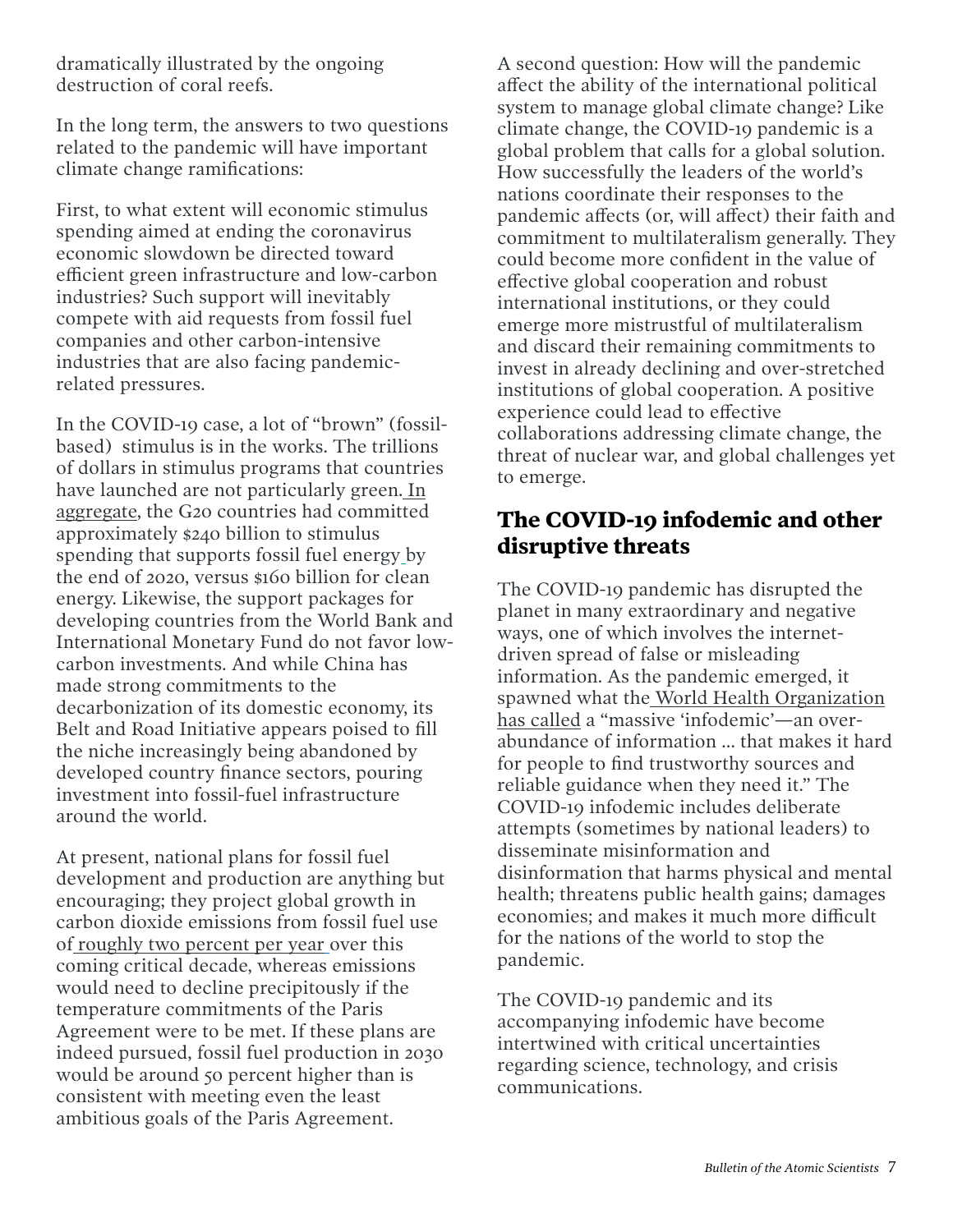dramatically illustrated by the ongoing destruction of coral reefs.

In the long term, the answers to two questions related to the pandemic will have important climate change ramifications:

First, to what extent will economic stimulus spending aimed at ending the coronavirus economic slowdown be directed toward efficient green infrastructure and low-carbon industries? Such support will inevitably compete with aid requests from fossil fuel companies and other carbon-intensive industries that are also facing pandemicrelated pressures.

In the COVID-19 case, a lot of "brown" (fossilbased) stimulus is in the works. The trillions of dollars in stimulus programs that countries have launched are not particularly green. [In](https://www.energypolicytracker.org/region/g20/)  [aggregate](https://www.energypolicytracker.org/region/g20/), the G20 countries had committed approximately \$240 billion to stimulus spending that supports fossil fuel energy by the end of 2020, versus \$160 billion for clean energy. Likewise, the support packages for developing countries from the World Bank and International Monetary Fund do not favor lowcarbon investments. And while China has made strong commitments to the decarbonization of its domestic economy, its Belt and Road Initiative appears poised to fill the niche increasingly being abandoned by developed country finance sectors, pouring investment into fossil-fuel infrastructure around the world.

At present, national plans for fossil fuel development and production are anything but encouraging; they project global growth in carbon dioxide emissions from fossil fuel use of [roughly two percent per year](https://www.unep.org/resources/report/production-gap-2020) over this coming critical decade, whereas emissions would need to decline precipitously if the temperature commitments of the Paris Agreement were to be met. If these plans are indeed pursued, fossil fuel production in 2030 would be around 50 percent higher than is consistent with meeting even the least ambitious goals of the Paris Agreement.

A second question: How will the pandemic affect the ability of the international political system to manage global climate change? Like climate change, the COVID-19 pandemic is a global problem that calls for a global solution. How successfully the leaders of the world's nations coordinate their responses to the pandemic affects (or, will affect) their faith and commitment to multilateralism generally. They could become more confident in the value of effective global cooperation and robust international institutions, or they could emerge more mistrustful of multilateralism and discard their remaining commitments to invest in already declining and over-stretched institutions of global cooperation. A positive experience could lead to effective collaborations addressing climate change, the threat of nuclear war, and global challenges yet to emerge.

#### **The COVID-19 infodemic and other disruptive threats**

The COVID-19 pandemic has disrupted the planet in many extraordinary and negative ways, one of which involves the internetdriven spread of false or misleading information. As the pandemic emerged, it spawned what the [World Health Organization](https://www.who.int/docs/default-source/coronaviruse/situation-reports/20200202-sitrep-13-ncov-v3.pdf)  [has called](https://www.who.int/docs/default-source/coronaviruse/situation-reports/20200202-sitrep-13-ncov-v3.pdf) a "massive 'infodemic'—an overabundance of information … that makes it hard for people to find trustworthy sources and reliable guidance when they need it." The COVID-19 infodemic includes deliberate attempts (sometimes by national leaders) to disseminate misinformation and disinformation that harms physical and mental health; threatens public health gains; damages economies; and makes it much more difficult for the nations of the world to stop the pandemic.

The COVID-19 pandemic and its accompanying infodemic have become intertwined with critical uncertainties regarding science, technology, and crisis communications.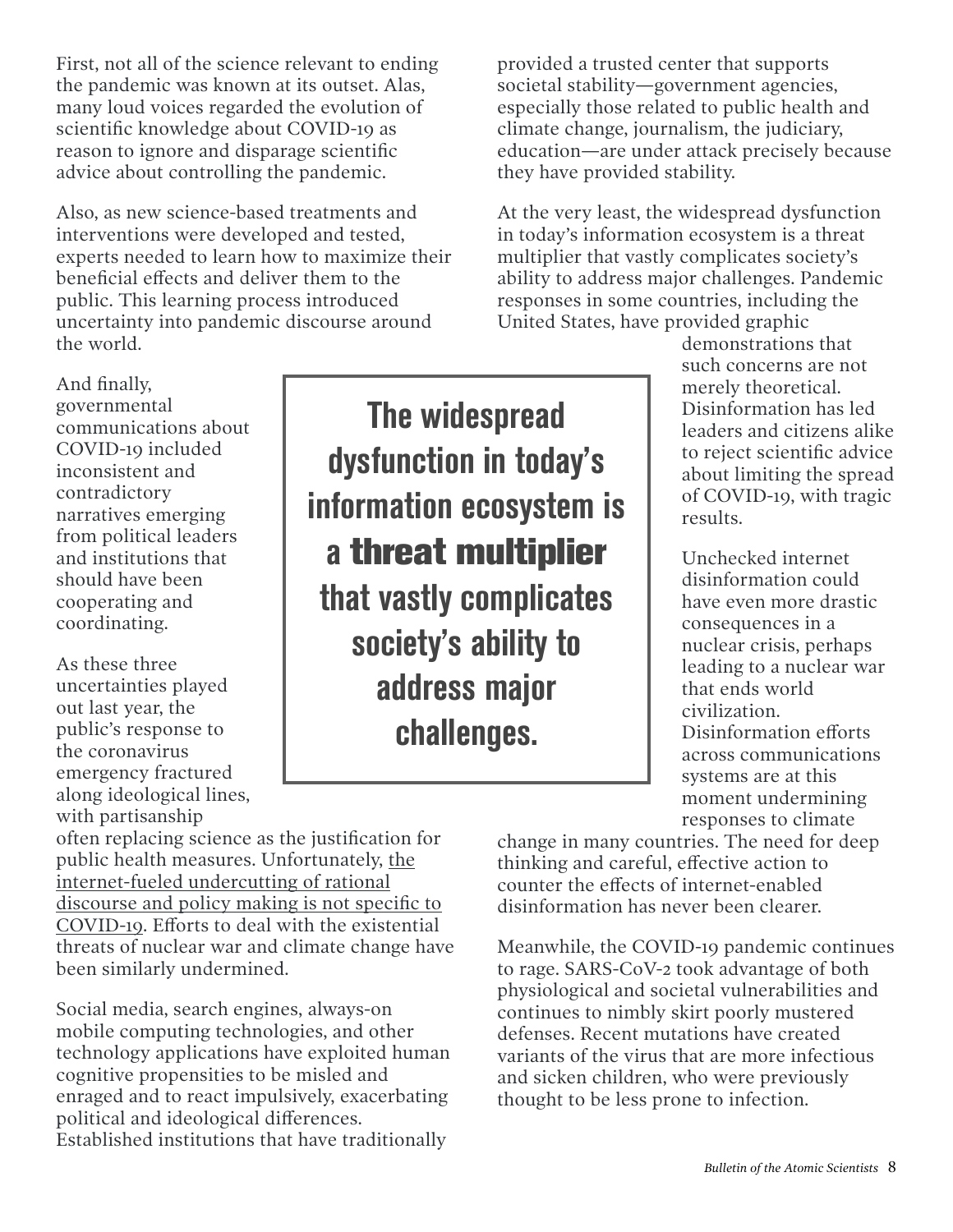First, not all of the science relevant to ending the pandemic was known at its outset. Alas, many loud voices regarded the evolution of scientific knowledge about COVID-19 as reason to ignore and disparage scientific advice about controlling the pandemic.

Also, as new science-based treatments and interventions were developed and tested, experts needed to learn how to maximize their beneficial effects and deliver them to the public. This learning process introduced uncertainty into pandemic discourse around the world.

And finally, governmental communications about COVID-19 included inconsistent and contradictory narratives emerging from political leaders and institutions that should have been cooperating and coordinating.

As these three uncertainties played out last year, the public's response to the coronavirus emergency fractured along ideological lines, with partisanship

The widespread dysfunction in today's information ecosystem is a **threat multiplier** that vastly complicates society's ability to address major challenges.

provided a trusted center that supports societal stability—government agencies, especially those related to public health and climate change, journalism, the judiciary, education—are under attack precisely because they have provided stability.

At the very least, the widespread dysfunction in today's information ecosystem is a threat multiplier that vastly complicates society's ability to address major challenges. Pandemic responses in some countries, including the United States, have provided graphic

> demonstrations that such concerns are not merely theoretical. Disinformation has led leaders and citizens alike to reject scientific advice about limiting the spread of COVID-19, with tragic results.

Unchecked internet disinformation could have even more drastic consequences in a nuclear crisis, perhaps leading to a nuclear war that ends world civilization. Disinformation efforts across communications systems are at this moment undermining responses to climate

often replacing science as the justification for [public health measures. Unfortunately, the](https://www.tandfonline.com/doi/full/10.1080/00963402.2019.1629574)  [internet-fueled undercutting of rational](https://www.tandfonline.com/doi/full/10.1080/00963402.2019.1629574)  [discourse and policy making is not specific to](https://www.tandfonline.com/doi/full/10.1080/00963402.2019.1629574)  [COVID-19.](https://www.tandfonline.com/doi/full/10.1080/00963402.2019.1629574) Efforts to deal with the existential threats of nuclear war and climate change have been similarly undermined.

Social media, search engines, always-on mobile computing technologies, and other technology applications have exploited human cognitive propensities to be misled and enraged and to react impulsively, exacerbating political and ideological differences. Established institutions that have traditionally

change in many countries. The need for deep thinking and careful, effective action to counter the effects of internet-enabled disinformation has never been clearer.

Meanwhile, the COVID-19 pandemic continues to rage. SARS-CoV-2 took advantage of both physiological and societal vulnerabilities and continues to nimbly skirt poorly mustered defenses. Recent mutations have created variants of the virus that are more infectious and sicken children, who were previously thought to be less prone to infection.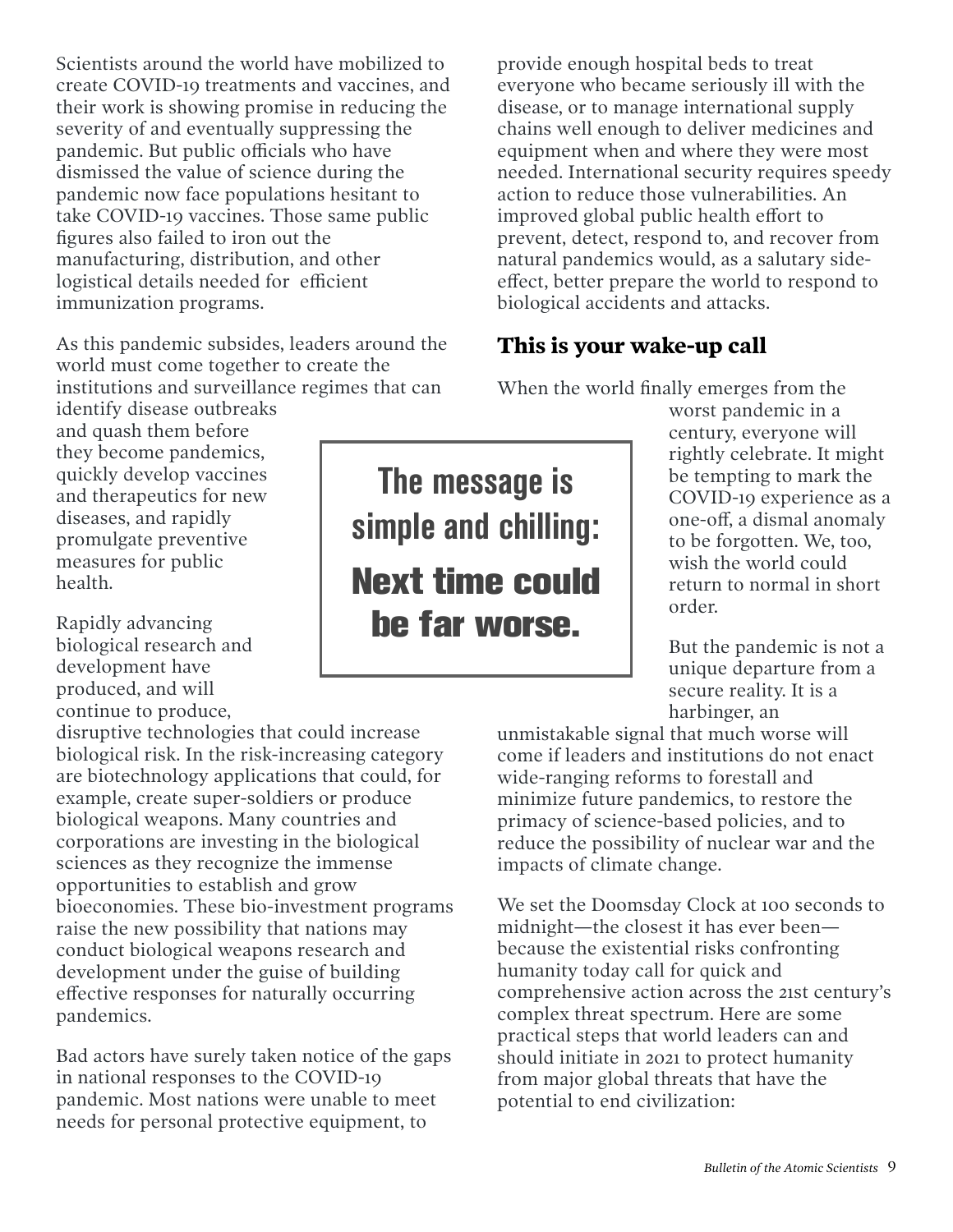Scientists around the world have mobilized to create COVID-19 treatments and vaccines, and their work is showing promise in reducing the severity of and eventually suppressing the pandemic. But public officials who have dismissed the value of science during the pandemic now face populations hesitant to take COVID-19 vaccines. Those same public figures also failed to iron out the manufacturing, distribution, and other logistical details needed for efficient immunization programs.

As this pandemic subsides, leaders around the world must come together to create the institutions and surveillance regimes that can identify disease outbreaks

and quash them before they become pandemics, quickly develop vaccines and therapeutics for new diseases, and rapidly promulgate preventive measures for public health.

Rapidly advancing biological research and development have produced, and will continue to produce,

disruptive technologies that could increase biological risk. In the risk-increasing category are biotechnology applications that could, for example, create super-soldiers or produce biological weapons. Many countries and corporations are investing in the biological sciences as they recognize the immense opportunities to establish and grow bioeconomies. These bio-investment programs raise the new possibility that nations may conduct biological weapons research and development under the guise of building effective responses for naturally occurring pandemics.

Bad actors have surely taken notice of the gaps in national responses to the COVID-19 pandemic. Most nations were unable to meet needs for personal protective equipment, to

provide enough hospital beds to treat everyone who became seriously ill with the disease, or to manage international supply chains well enough to deliver medicines and equipment when and where they were most needed. International security requires speedy action to reduce those vulnerabilities. An improved global public health effort to prevent, detect, respond to, and recover from natural pandemics would, as a salutary sideeffect, better prepare the world to respond to biological accidents and attacks.

#### **This is your wake-up call**

When the world finally emerges from the

worst pandemic in a century, everyone will rightly celebrate. It might be tempting to mark the COVID-19 experience as a one-off, a dismal anomaly to be forgotten. We, too, wish the world could return to normal in short order.

But the pandemic is not a unique departure from a secure reality. It is a harbinger, an

unmistakable signal that much worse will come if leaders and institutions do not enact wide-ranging reforms to forestall and minimize future pandemics, to restore the primacy of science-based policies, and to reduce the possibility of nuclear war and the impacts of climate change.

We set the Doomsday Clock at 100 seconds to midnight—the closest it has ever been because the existential risks confronting humanity today call for quick and comprehensive action across the 21st century's complex threat spectrum. Here are some practical steps that world leaders can and should initiate in 2021 to protect humanity from major global threats that have the potential to end civilization:

The message is simple and chilling: **Next time could be far worse.**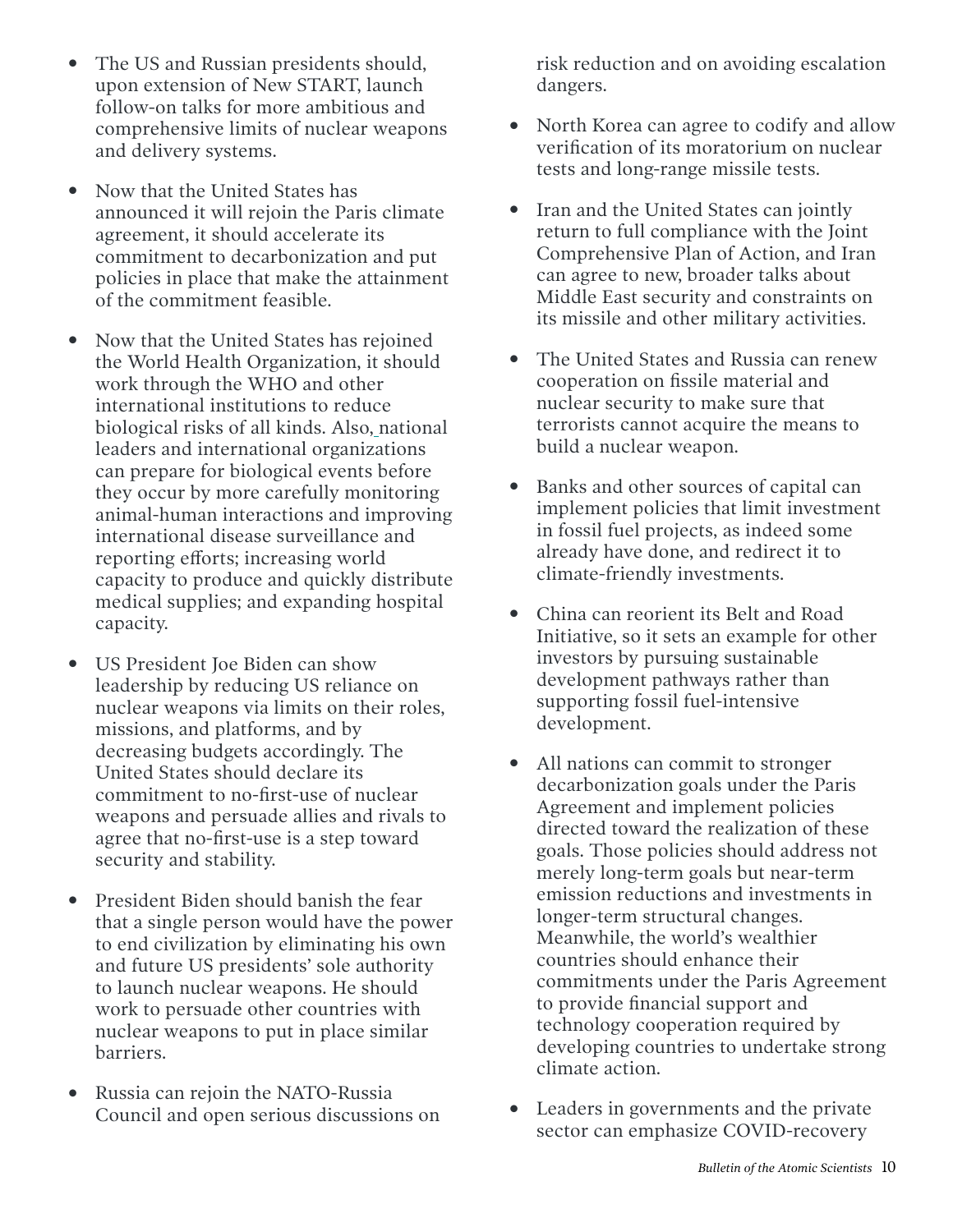- The US and Russian presidents should, upon extension of New START, launch follow-on talks for more ambitious and comprehensive limits of nuclear weapons and delivery systems.
- Now that the United States has announced it will rejoin the Paris climate agreement, it should accelerate its commitment to decarbonization and put policies in place that make the attainment of the commitment feasible.
- Now that the United States has rejoined the World Health Organization, it should work through the WHO and other international institutions to reduce biological risks of all kinds. Also, national leaders and international organizations can prepare for biological events before they occur by more carefully monitoring animal-human interactions and improving international disease surveillance and reporting efforts; increasing world capacity to produce and quickly distribute medical supplies; and expanding hospital capacity.
- US President Joe Biden can show leadership by reducing US reliance on nuclear weapons via limits on their roles, missions, and platforms, and by decreasing budgets accordingly. The United States should declare its commitment to no-first-use of nuclear weapons and persuade allies and rivals to agree that no-first-use is a step toward security and stability.
- President Biden should banish the fear that a single person would have the power to end civilization by eliminating his own and future US presidents' sole authority to launch nuclear weapons. He should work to persuade other countries with nuclear weapons to put in place similar barriers.
- Russia can rejoin the NATO-Russia Council and open serious discussions on

risk reduction and on avoiding escalation dangers.

- North Korea can agree to codify and allow verification of its moratorium on nuclear tests and long-range missile tests.
- Iran and the United States can jointly return to full compliance with the Joint Comprehensive Plan of Action, and Iran can agree to new, broader talks about Middle East security and constraints on its missile and other military activities.
- The United States and Russia can renew cooperation on fissile material and nuclear security to make sure that terrorists cannot acquire the means to build a nuclear weapon.
- Banks and other sources of capital can implement policies that limit investment in fossil fuel projects, as indeed some already have done, and redirect it to climate-friendly investments.
- China can reorient its Belt and Road Initiative, so it sets an example for other investors by pursuing sustainable development pathways rather than supporting fossil fuel-intensive development.
- All nations can commit to stronger decarbonization goals under the Paris Agreement and implement policies directed toward the realization of these goals. Those policies should address not merely long-term goals but near-term emission reductions and investments in longer-term structural changes. Meanwhile, the world's wealthier countries should enhance their commitments under the Paris Agreement to provide financial support and technology cooperation required by developing countries to undertake strong climate action.
- Leaders in governments and the private sector can emphasize COVID-recovery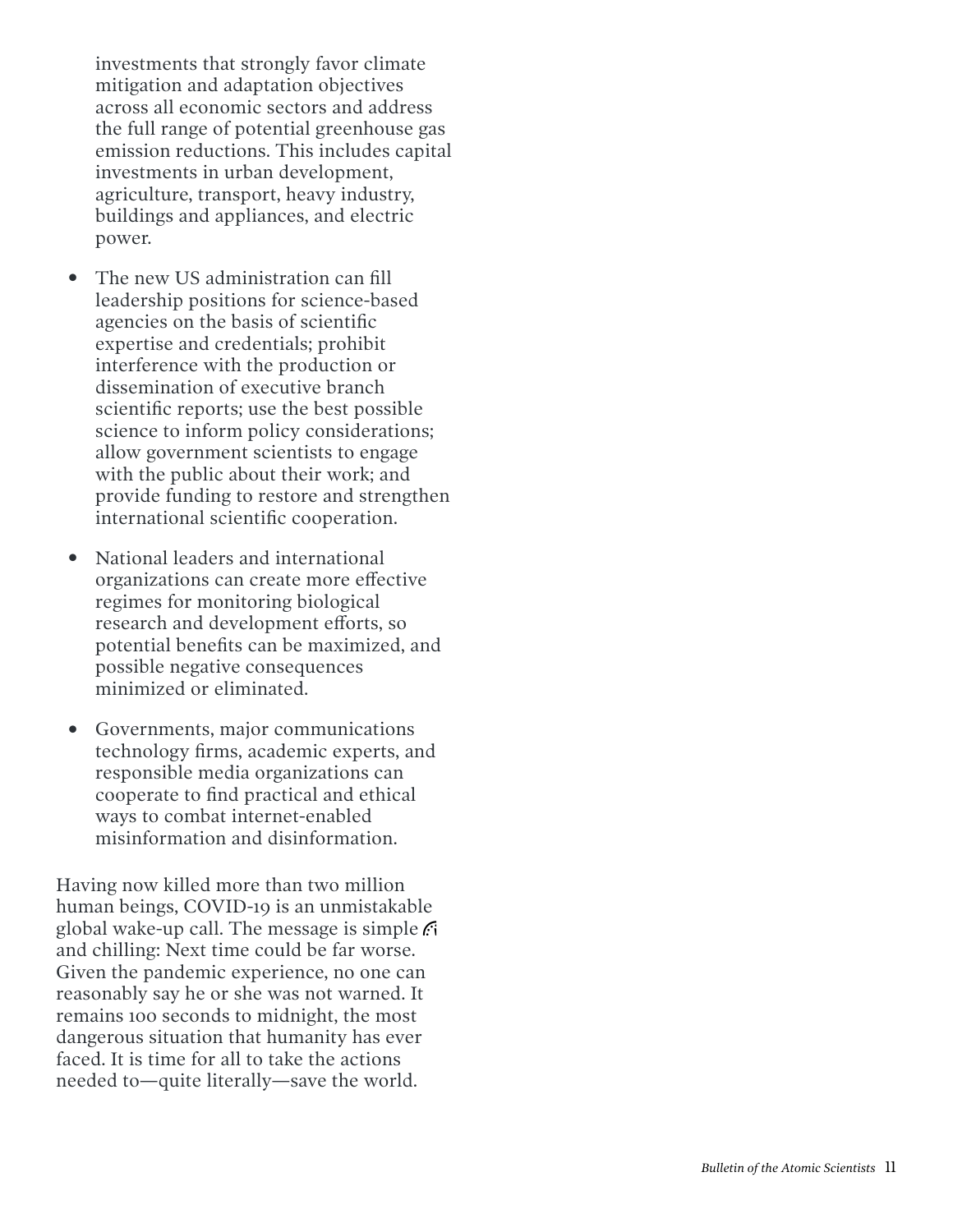investments that strongly favor climate mitigation and adaptation objectives across all economic sectors and address the full range of potential greenhouse gas emission reductions. This includes capital investments in urban development, agriculture, transport, heavy industry, buildings and appliances, and electric power.

- The new US administration can fill leadership positions for science-based agencies on the basis of scientific expertise and credentials; prohibit interference with the production or dissemination of executive branch scientific reports; use the best possible science to inform policy considerations; allow government scientists to engage with the public about their work; and provide funding to restore and strengthen international scientific cooperation.
- National leaders and international organizations can create more effective regimes for monitoring biological research and development efforts, so potential benefits can be maximized, and possible negative consequences minimized or eliminated.
- Governments, major communications technology firms, academic experts, and responsible media organizations can cooperate to find practical and ethical ways to combat internet-enabled misinformation and disinformation.

Having now killed more than two million human beings, COVID-19 is an unmistakable global wake-up call. The message is simple and chilling: Next time could be far worse. Given the pandemic experience, no one can reasonably say he or she was not warned. It remains 100 seconds to midnight, the most dangerous situation that humanity has ever faced. It is time for all to take the actions needed to—quite literally—save the world.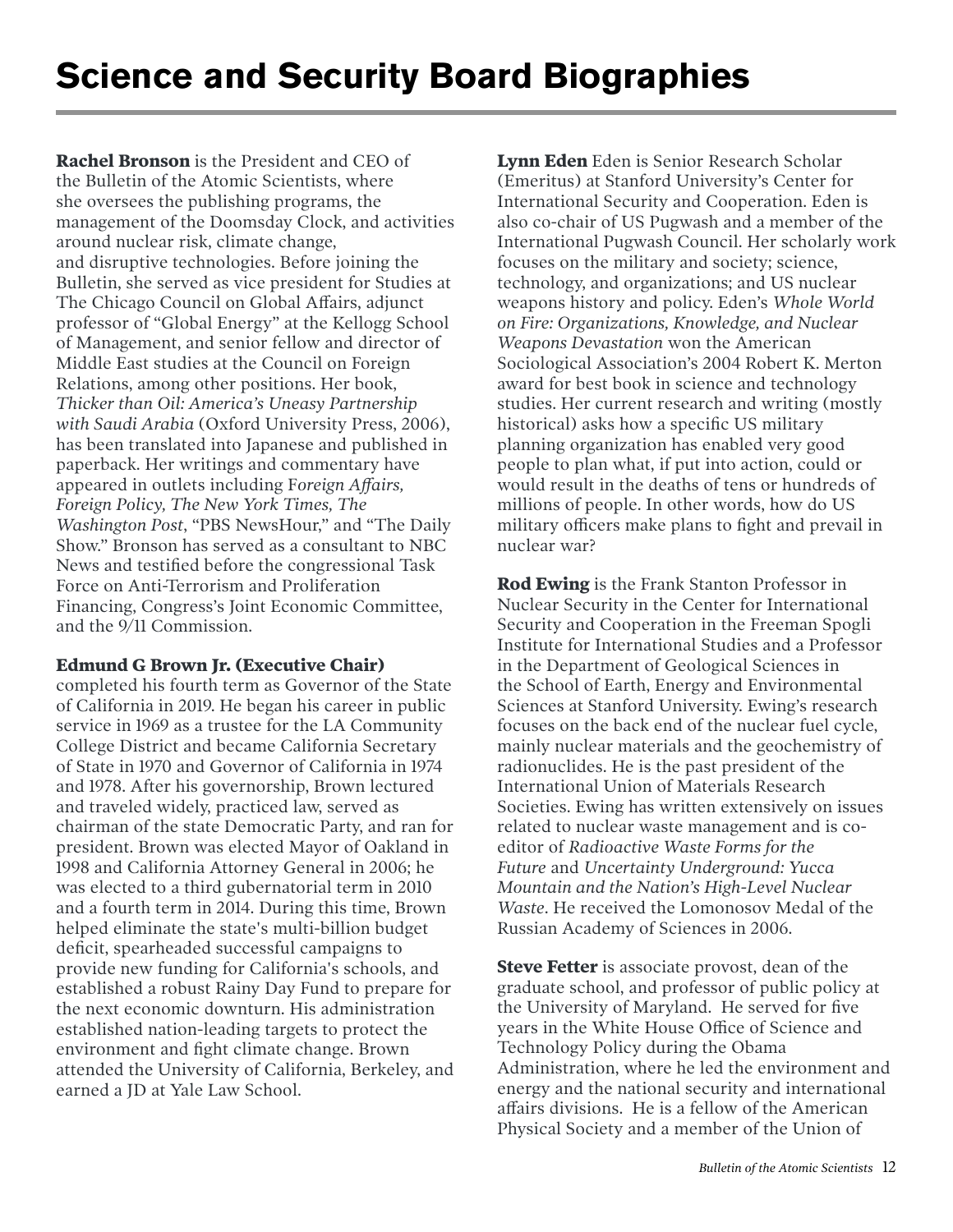**Rachel Bronson** is the President and CEO of the Bulletin of the Atomic Scientists, where she oversees the publishing programs, the management of the Doomsday Clock, and activities around nuclear risk, climate change, and disruptive technologies. Before joining the Bulletin, she served as vice president for Studies at The Chicago Council on Global Affairs, adjunct professor of "Global Energy" at the Kellogg School of Management, and senior fellow and director of Middle East studies at the Council on Foreign Relations, among other positions. Her book, *Thicker than Oil: America's Uneasy Partnership with Saudi Arabia* (Oxford University Press, 2006), has been translated into Japanese and published in paperback. Her writings and commentary have appeared in outlets including F*oreign Affairs, Foreign Policy, The New York Times, The Washington Post*, "PBS NewsHour," and "The Daily Show." Bronson has served as a consultant to NBC News and testified before the congressional Task Force on Anti-Terrorism and Proliferation Financing, Congress's Joint Economic Committee, and the 9/11 Commission.

#### **Edmund G Brown Jr. (Executive Chair)**

completed his fourth term as Governor of the State of California in 2019. He began his career in public service in 1969 as a trustee for the LA Community College District and became California Secretary of State in 1970 and Governor of California in 1974 and 1978. After his governorship, Brown lectured and traveled widely, practiced law, served as chairman of the state Democratic Party, and ran for president. Brown was elected Mayor of Oakland in 1998 and California Attorney General in 2006; he was elected to a third gubernatorial term in 2010 and a fourth term in 2014. During this time, Brown helped eliminate the state's multi-billion budget deficit, spearheaded successful campaigns to provide new funding for California's schools, and established a robust Rainy Day Fund to prepare for the next economic downturn. His administration established nation-leading targets to protect the environment and fight climate change. Brown attended the University of California, Berkeley, and earned a ID at Yale Law School.

**Lynn Eden** Eden is Senior Research Scholar (Emeritus) at Stanford University's Center for International Security and Cooperation. Eden is also co-chair of US Pugwash and a member of the International Pugwash Council. Her scholarly work focuses on the military and society; science, technology, and organizations; and US nuclear weapons history and policy. Eden's *Whole World on Fire: Organizations, Knowledge, and Nuclear Weapons Devastation* won the American Sociological Association's 2004 Robert K. Merton award for best book in science and technology studies. Her current research and writing (mostly historical) asks how a specific US military planning organization has enabled very good people to plan what, if put into action, could or would result in the deaths of tens or hundreds of millions of people. In other words, how do US military officers make plans to fight and prevail in nuclear war?

**Rod Ewing** is the Frank Stanton Professor in Nuclear Security in the Center for International Security and Cooperation in the Freeman Spogli Institute for International Studies and a Professor in the Department of Geological Sciences in the School of Earth, Energy and Environmental Sciences at Stanford University. Ewing's research focuses on the back end of the nuclear fuel cycle, mainly nuclear materials and the geochemistry of radionuclides. He is the past president of the International Union of Materials Research Societies. Ewing has written extensively on issues related to nuclear waste management and is coeditor of *Radioactive Waste Forms for the Future* and *Uncertainty Underground: Yucca Mountain and the Nation's High-Level Nuclear Waste*. He received the Lomonosov Medal of the Russian Academy of Sciences in 2006.

**Steve Fetter** is associate provost, dean of the graduate school, and professor of public policy at the University of Maryland. He served for five years in the White House Office of Science and Technology Policy during the Obama Administration, where he led the environment and energy and the national security and international affairs divisions. He is a fellow of the American Physical Society and a member of the Union of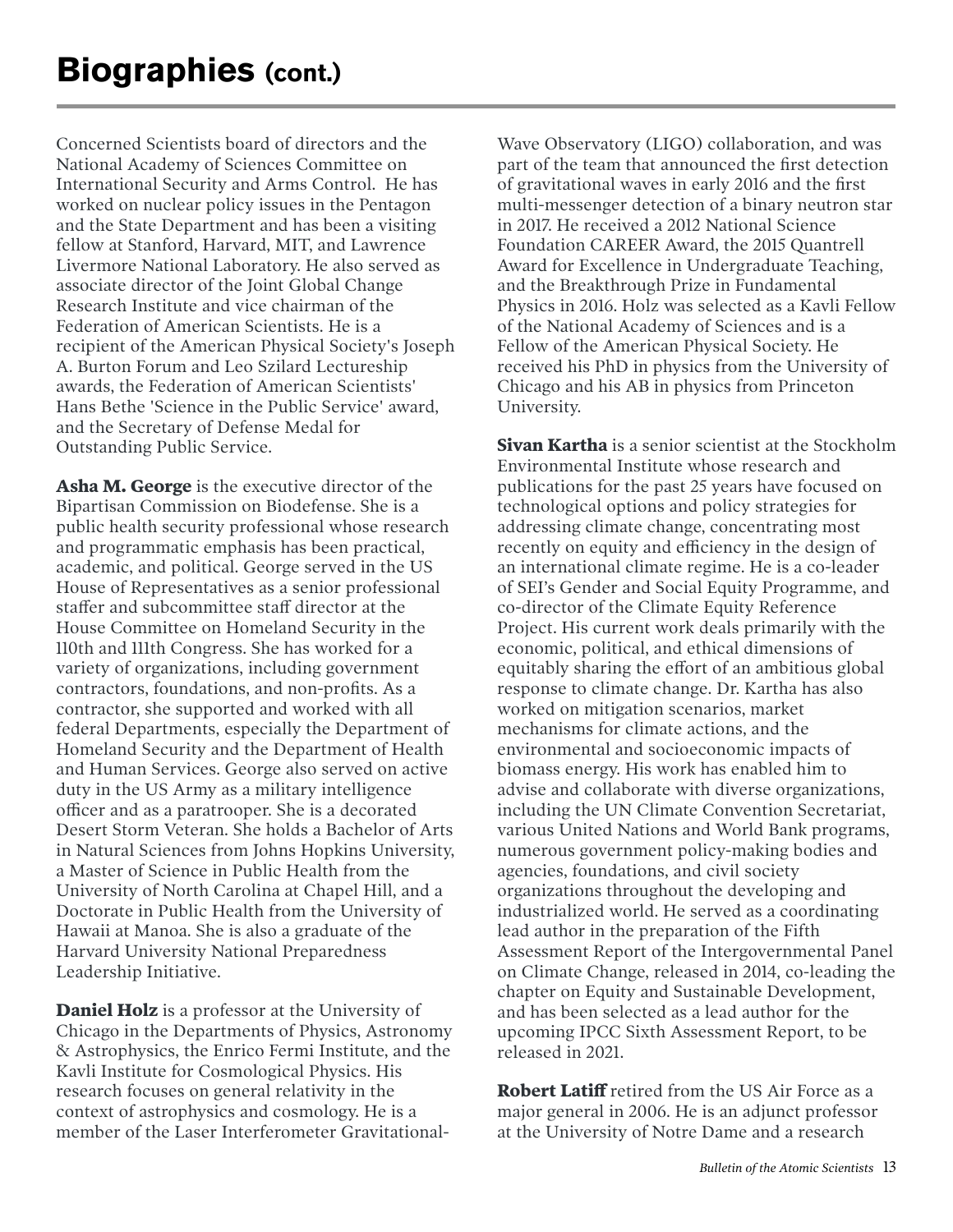Concerned Scientists board of directors and the National Academy of Sciences Committee on International Security and Arms Control. He has worked on nuclear policy issues in the Pentagon and the State Department and has been a visiting fellow at Stanford, Harvard, MIT, and Lawrence Livermore National Laboratory. He also served as associate director of the Joint Global Change Research Institute and vice chairman of the Federation of American Scientists. He is a recipient of the American Physical Society's Joseph A. Burton Forum and Leo Szilard Lectureship awards, the Federation of American Scientists' Hans Bethe 'Science in the Public Service' award, and the Secretary of Defense Medal for Outstanding Public Service.

**Asha M. George** is the executive director of the Bipartisan Commission on Biodefense. She is a public health security professional whose research and programmatic emphasis has been practical, academic, and political. George served in the US House of Representatives as a senior professional staffer and subcommittee staff director at the House Committee on Homeland Security in the 110th and 111th Congress. She has worked for a variety of organizations, including government contractors, foundations, and non-profits. As a contractor, she supported and worked with all federal Departments, especially the Department of Homeland Security and the Department of Health and Human Services. George also served on active duty in the US Army as a military intelligence officer and as a paratrooper. She is a decorated Desert Storm Veteran. She holds a Bachelor of Arts in Natural Sciences from Johns Hopkins University, a Master of Science in Public Health from the University of North Carolina at Chapel Hill, and a Doctorate in Public Health from the University of Hawaii at Manoa. She is also a graduate of the Harvard University National Preparedness Leadership Initiative.

**Daniel Holz** is a professor at the University of Chicago in the Departments of Physics, Astronomy & Astrophysics, the Enrico Fermi Institute, and the Kavli Institute for Cosmological Physics. His research focuses on general relativity in the context of astrophysics and cosmology. He is a member of the Laser Interferometer Gravitational-

Wave Observatory (LIGO) collaboration, and was part of the team that announced the first detection of gravitational waves in early 2016 and the first multi-messenger detection of a binary neutron star in 2017. He received a 2012 National Science Foundation CAREER Award, the 2015 Quantrell Award for Excellence in Undergraduate Teaching, and the Breakthrough Prize in Fundamental Physics in 2016. Holz was selected as a Kavli Fellow of the National Academy of Sciences and is a Fellow of the American Physical Society. He received his PhD in physics from the University of Chicago and his AB in physics from Princeton University.

**Sivan Kartha** is a senior scientist at the Stockholm Environmental Institute whose research and publications for the past 25 years have focused on technological options and policy strategies for addressing climate change, concentrating most recently on equity and efficiency in the design of an international climate regime. He is a co-leader of SEI's Gender and Social Equity Programme, and co-director of the Climate Equity Reference Project. His current work deals primarily with the economic, political, and ethical dimensions of equitably sharing the effort of an ambitious global response to climate change. Dr. Kartha has also worked on mitigation scenarios, market mechanisms for climate actions, and the environmental and socioeconomic impacts of biomass energy. His work has enabled him to advise and collaborate with diverse organizations, including the UN Climate Convention Secretariat, various United Nations and World Bank programs, numerous government policy-making bodies and agencies, foundations, and civil society organizations throughout the developing and industrialized world. He served as a coordinating lead author in the preparation of the Fifth Assessment Report of the Intergovernmental Panel on Climate Change, released in 2014, co-leading the chapter on Equity and Sustainable Development, and has been selected as a lead author for the upcoming IPCC Sixth Assessment Report, to be released in 2021.

**Robert Latiff** retired from the US Air Force as a major general in 2006. He is an adjunct professor at the University of Notre Dame and a research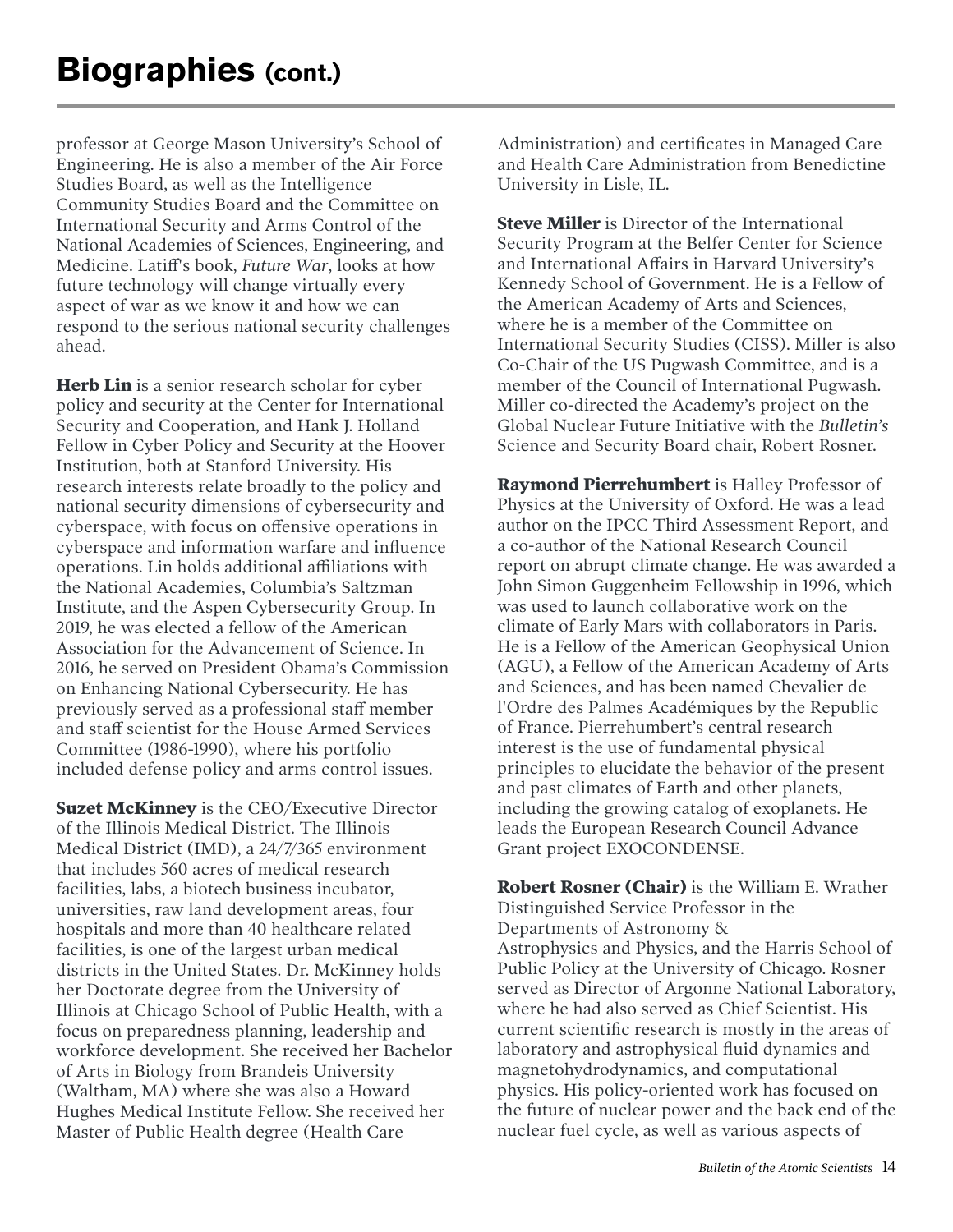professor at George Mason University's School of Engineering. He is also a member of the Air Force Studies Board, as well as the Intelligence Community Studies Board and the Committee on International Security and Arms Control of the National Academies of Sciences, Engineering, and Medicine. Latiff's book, *Future War*, looks at how future technology will change virtually every aspect of war as we know it and how we can respond to the serious national security challenges ahead.

**Herb Lin** is a senior research scholar for cyber policy and security at the Center for International Security and Cooperation, and Hank J. Holland Fellow in Cyber Policy and Security at the Hoover Institution, both at Stanford University. His research interests relate broadly to the policy and national security dimensions of cybersecurity and cyberspace, with focus on offensive operations in cyberspace and information warfare and influence operations. Lin holds additional affiliations with the National Academies, Columbia's Saltzman Institute, and the Aspen Cybersecurity Group. In 2019, he was elected a fellow of the American Association for the Advancement of Science. In 2016, he served on President Obama's Commission on Enhancing National Cybersecurity. He has previously served as a professional staff member and staff scientist for the House Armed Services Committee (1986-1990), where his portfolio included defense policy and arms control issues.

**Suzet McKinney** is the CEO/Executive Director of the Illinois Medical District. The Illinois Medical District (IMD), a 24/7/365 environment that includes 560 acres of medical research facilities, labs, a biotech business incubator, universities, raw land development areas, four hospitals and more than 40 healthcare related facilities, is one of the largest urban medical districts in the United States. Dr. McKinney holds her Doctorate degree from the University of Illinois at Chicago School of Public Health, with a focus on preparedness planning, leadership and workforce development. She received her Bachelor of Arts in Biology from Brandeis University (Waltham, MA) where she was also a Howard Hughes Medical Institute Fellow. She received her Master of Public Health degree (Health Care

Administration) and certificates in Managed Care and Health Care Administration from Benedictine University in Lisle, IL.

**Steve Miller** is Director of the International Security Program at the Belfer Center for Science and International Affairs in Harvard University's Kennedy School of Government. He is a Fellow of the American Academy of Arts and Sciences, where he is a member of the Committee on International Security Studies (CISS). Miller is also Co-Chair of the US Pugwash Committee, and is a member of the Council of International Pugwash. Miller co-directed the Academy's project on the Global Nuclear Future Initiative with the *Bulletin's* Science and Security Board chair, Robert Rosner.

**Raymond Pierrehumbert** is Halley Professor of Physics at the University of Oxford. He was a lead author on the IPCC Third Assessment Report, and a co-author of the National Research Council report on abrupt climate change. He was awarded a John Simon Guggenheim Fellowship in 1996, which was used to launch collaborative work on the climate of Early Mars with collaborators in Paris. He is a Fellow of the American Geophysical Union (AGU), a Fellow of the American Academy of Arts and Sciences, and has been named Chevalier de l'Ordre des Palmes Académiques by the Republic of France. Pierrehumbert's central research interest is the use of fundamental physical principles to elucidate the behavior of the present and past climates of Earth and other planets, including the growing catalog of exoplanets. He leads the European Research Council Advance Grant project EXOCONDENSE.

**Robert Rosner (Chair)** is the William E. Wrather Distinguished Service Professor in the Departments of Astronomy & Astrophysics and Physics, and the Harris School of Public Policy at the University of Chicago. Rosner served as Director of Argonne National Laboratory, where he had also served as Chief Scientist. His current scientific research is mostly in the areas of laboratory and astrophysical fluid dynamics and magnetohydrodynamics, and computational physics. His policy-oriented work has focused on the future of nuclear power and the back end of the nuclear fuel cycle, as well as various aspects of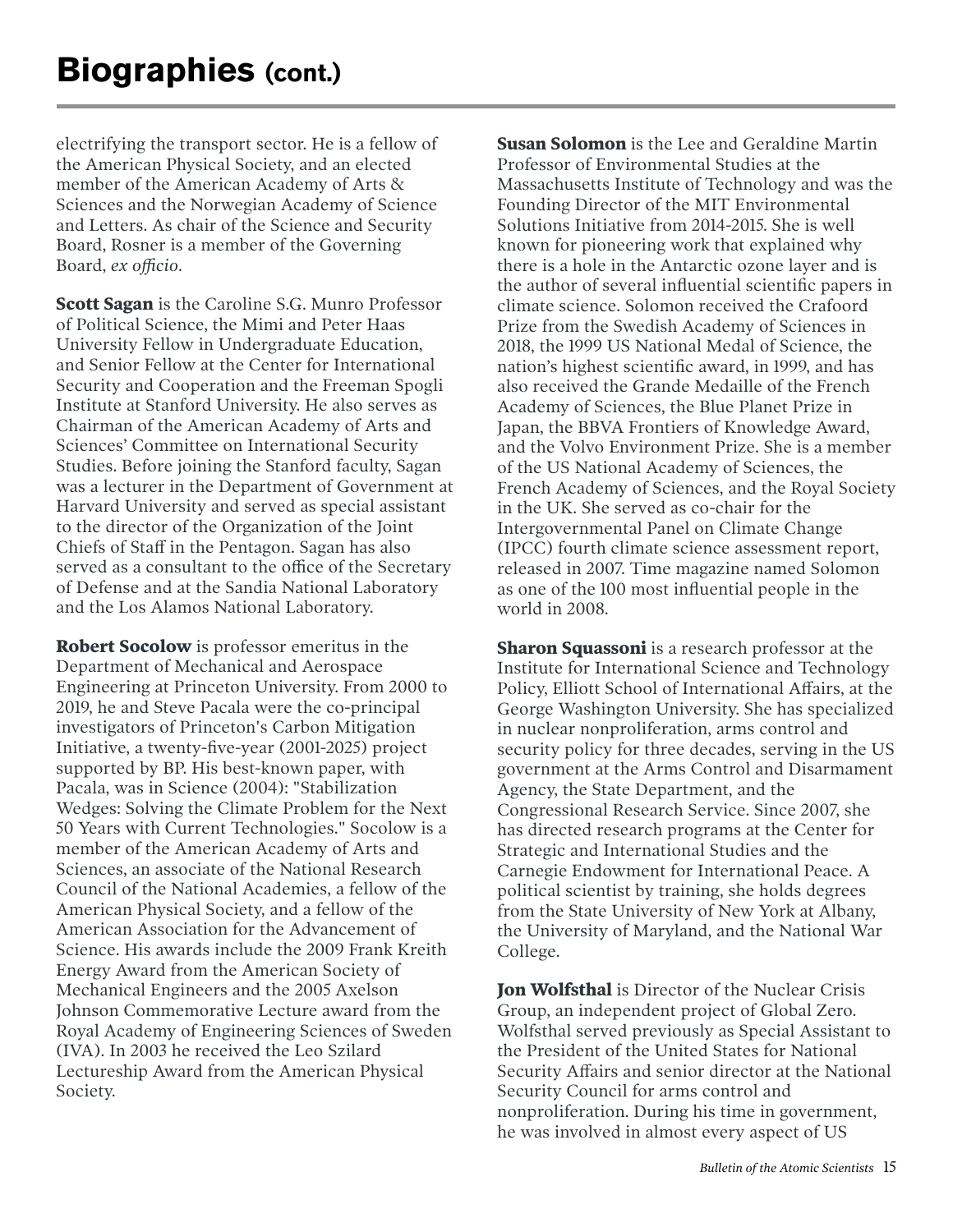electrifying the transport sector. He is a fellow of the American Physical Society, and an elected member of the American Academy of Arts & Sciences and the Norwegian Academy of Science and Letters. As chair of the Science and Security Board, Rosner is a member of the Governing Board, *ex officio*.

**Scott Sagan** is the Caroline S.G. Munro Professor of Political Science, the Mimi and Peter Haas University Fellow in Undergraduate Education, and Senior Fellow at the Center for International Security and Cooperation and the Freeman Spogli Institute at Stanford University. He also serves as Chairman of the American Academy of Arts and Sciences' Committee on International Security Studies. Before joining the Stanford faculty, Sagan was a lecturer in the Department of Government at Harvard University and served as special assistant to the director of the Organization of the Joint Chiefs of Staff in the Pentagon. Sagan has also served as a consultant to the office of the Secretary of Defense and at the Sandia National Laboratory and the Los Alamos National Laboratory.

**Robert Socolow** is professor emeritus in the Department of Mechanical and Aerospace Engineering at Princeton University. From 2000 to 2019, he and Steve Pacala were the co-principal investigators of Princeton's Carbon Mitigation Initiative, a twenty-five-year (2001-2025) project supported by BP. His best-known paper, with Pacala, was in Science (2004): "Stabilization Wedges: Solving the Climate Problem for the Next 50 Years with Current Technologies." Socolow is a member of the American Academy of Arts and Sciences, an associate of the National Research Council of the National Academies, a fellow of the American Physical Society, and a fellow of the American Association for the Advancement of Science. His awards include the 2009 Frank Kreith Energy Award from the American Society of Mechanical Engineers and the 2005 Axelson Johnson Commemorative Lecture award from the Royal Academy of Engineering Sciences of Sweden (IVA). In 2003 he received the Leo Szilard Lectureship Award from the American Physical Society.

**Susan Solomon** is the Lee and Geraldine Martin Professor of Environmental Studies at the Massachusetts Institute of Technology and was the Founding Director of the MIT Environmental Solutions Initiative from 2014-2015. She is well known for pioneering work that explained why there is a hole in the Antarctic ozone layer and is the author of several influential scientific papers in climate science. Solomon received the Crafoord Prize from the Swedish Academy of Sciences in 2018, the 1999 US National Medal of Science, the nation's highest scientific award, in 1999, and has also received the Grande Medaille of the French Academy of Sciences, the Blue Planet Prize in Japan, the BBVA Frontiers of Knowledge Award, and the Volvo Environment Prize. She is a member of the US National Academy of Sciences, the French Academy of Sciences, and the Royal Society in the UK. She served as co-chair for the Intergovernmental Panel on Climate Change (IPCC) fourth climate science assessment report, released in 2007. Time magazine named Solomon as one of the 100 most influential people in the world in 2008.

**Sharon Squassoni** is a research professor at the Institute for International Science and Technology Policy, Elliott School of International Affairs, at the George Washington University. She has specialized in nuclear nonproliferation, arms control and security policy for three decades, serving in the US government at the Arms Control and Disarmament Agency, the State Department, and the Congressional Research Service. Since 2007, she has directed research programs at the Center for Strategic and International Studies and the Carnegie Endowment for International Peace. A political scientist by training, she holds degrees from the State University of New York at Albany, the University of Maryland, and the National War College.

**Jon Wolfsthal** is Director of the Nuclear Crisis Group, an independent project of Global Zero. Wolfsthal served previously as Special Assistant to the President of the United States for National Security Affairs and senior director at the National Security Council for arms control and nonproliferation. During his time in government, he was involved in almost every aspect of US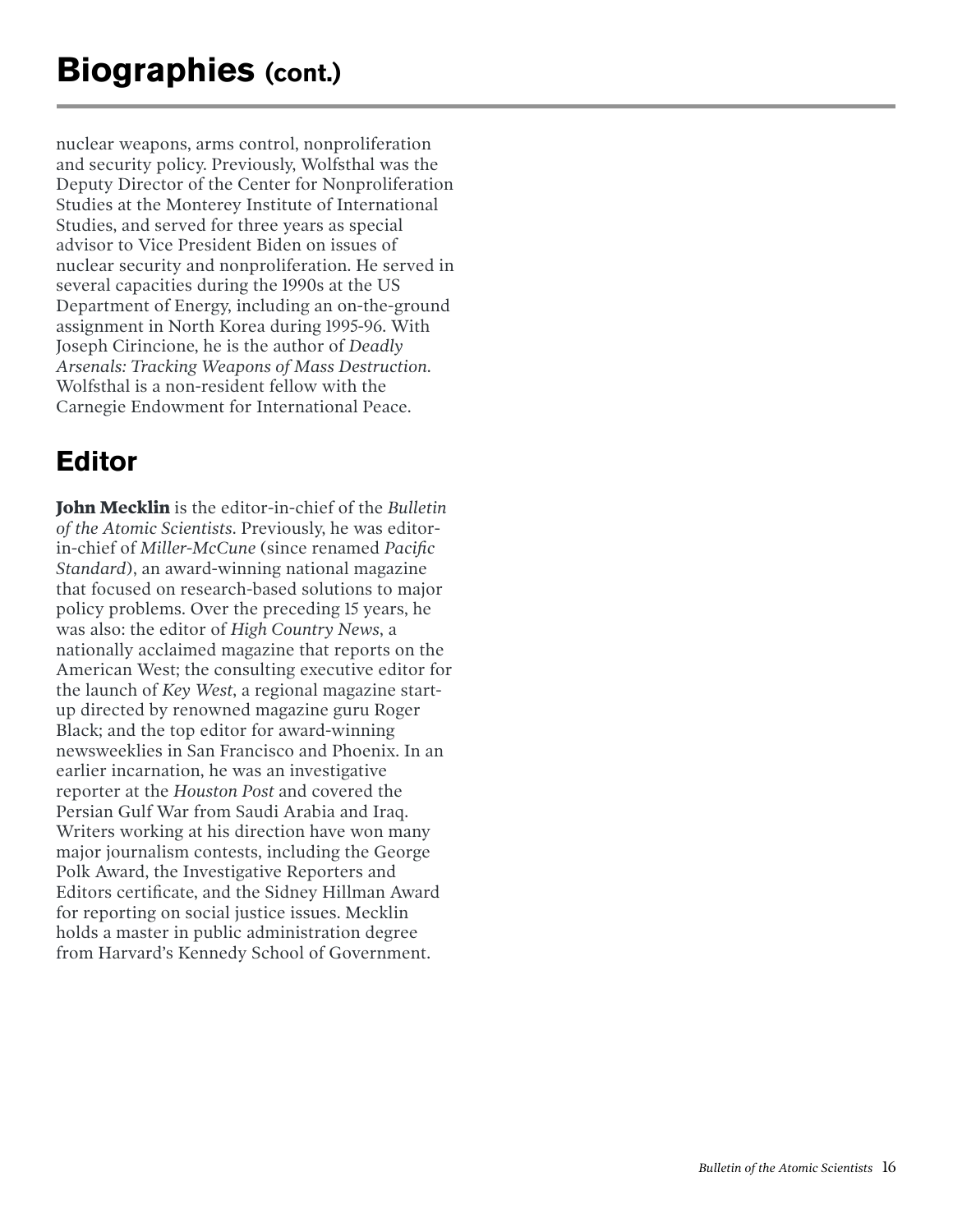nuclear weapons, arms control, nonproliferation and security policy. Previously, Wolfsthal was the Deputy Director of the Center for Nonproliferation Studies at the Monterey Institute of International Studies, and served for three years as special advisor to Vice President Biden on issues of nuclear security and nonproliferation. He served in several capacities during the 1990s at the US Department of Energy, including an on-the-ground assignment in North Korea during 1995-96. With Joseph Cirincione, he is the author of *Deadly Arsenals: Tracking Weapons of Mass Destruction*. Wolfsthal is a non-resident fellow with the Carnegie Endowment for International Peace.

### **Editor**

**John Mecklin** is the editor-in-chief of the *Bulletin of the Atomic Scientists*. Previously, he was editorin-chief of *Miller-McCune* (since renamed *Pacific Standard*), an award-winning national magazine that focused on research-based solutions to major policy problems. Over the preceding 15 years, he was also: the editor of *High Country News*, a nationally acclaimed magazine that reports on the American West; the consulting executive editor for the launch of *Key West*, a regional magazine startup directed by renowned magazine guru Roger Black; and the top editor for award-winning newsweeklies in San Francisco and Phoenix. In an earlier incarnation, he was an investigative reporter at the *Houston Post* and covered the Persian Gulf War from Saudi Arabia and Iraq. Writers working at his direction have won many major journalism contests, including the George Polk Award, the Investigative Reporters and Editors certificate, and the Sidney Hillman Award for reporting on social justice issues. Mecklin holds a master in public administration degree from Harvard's Kennedy School of Government.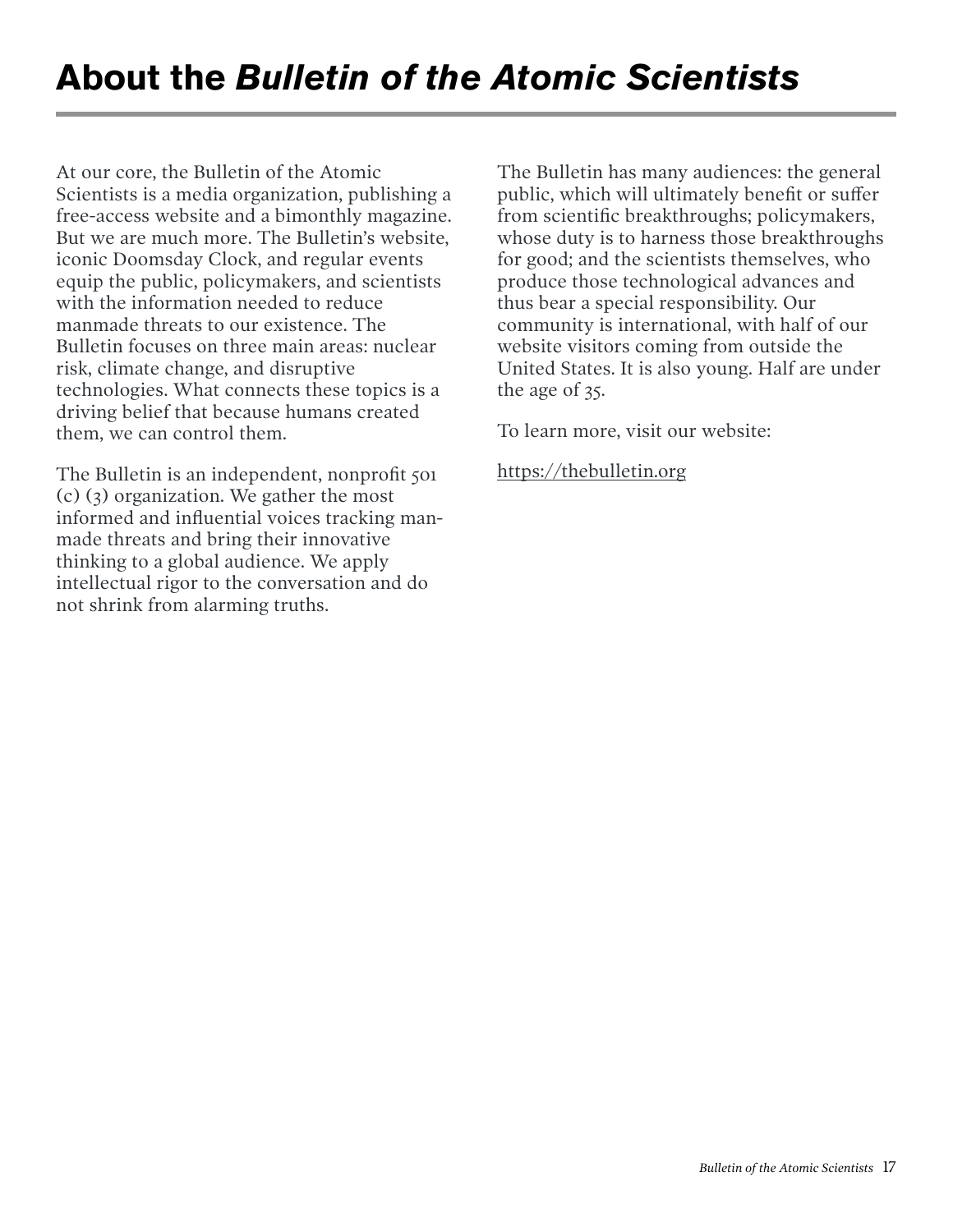At our core, the Bulletin of the Atomic Scientists is a media organization, publishing a free-access website and a bimonthly magazine. But we are much more. The Bulletin's website, iconic Doomsday Clock, and regular events equip the public, policymakers, and scientists with the information needed to reduce manmade threats to our existence. The Bulletin focuses on three main areas: nuclear risk, climate change, and disruptive technologies. What connects these topics is a driving belief that because humans created them, we can control them.

The Bulletin is an independent, nonprofit 501 (c) (3) organization. We gather the most informed and influential voices tracking manmade threats and bring their innovative thinking to a global audience. We apply intellectual rigor to the conversation and do not shrink from alarming truths.

The Bulletin has many audiences: the general public, which will ultimately benefit or suffer from scientific breakthroughs; policymakers, whose duty is to harness those breakthroughs for good; and the scientists themselves, who produce those technological advances and thus bear a special responsibility. Our community is international, with half of our website visitors coming from outside the United States. It is also young. Half are under the age of 35.

To learn more, visit our website:

<https://thebulletin.org>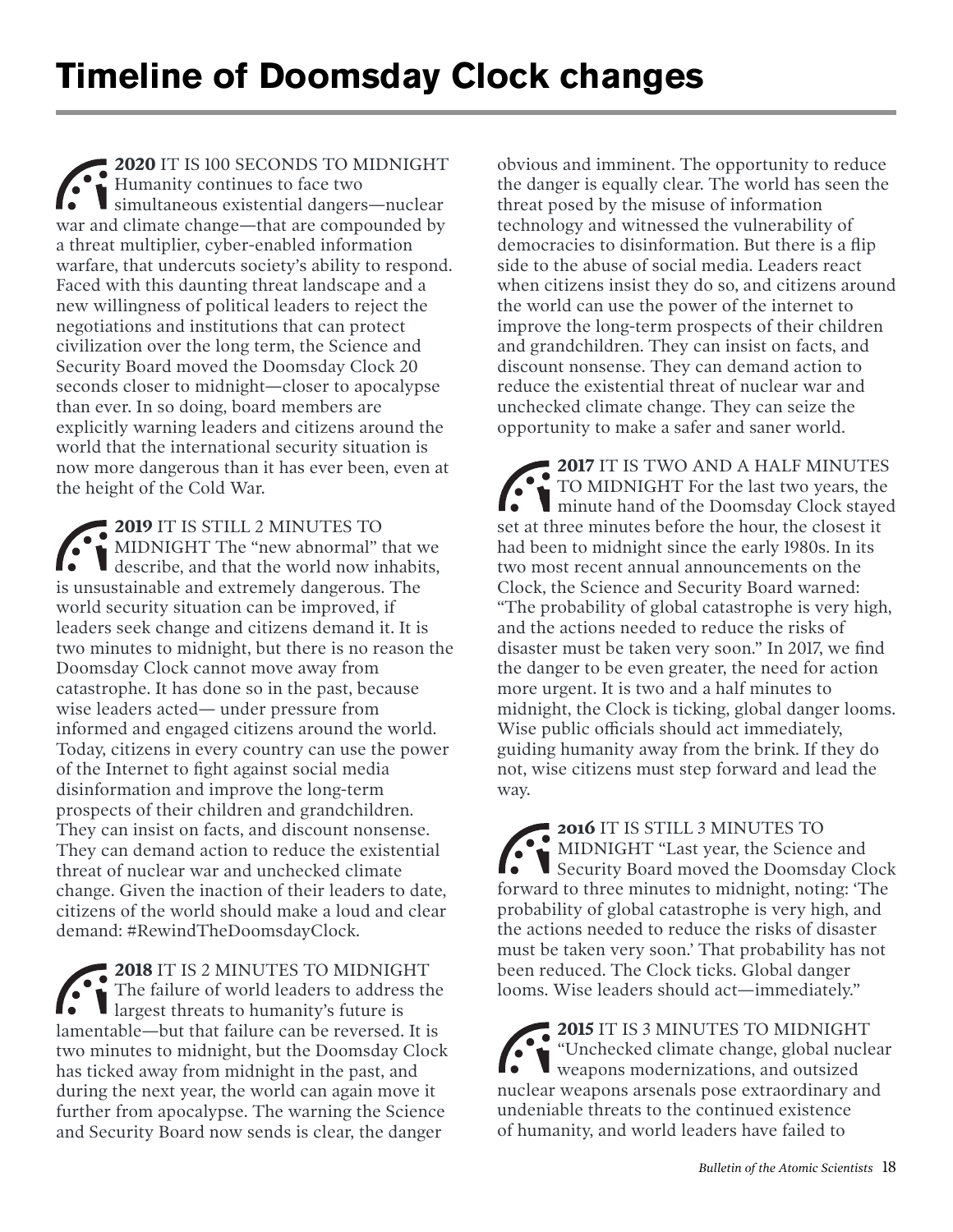**2020** IT IS 100 SECONDS TO MIDNIGHT Humanity continues to face two simultaneous existential dangers—nuclear war and climate change—that are compounded by a threat multiplier, cyber-enabled information warfare, that undercuts society's ability to respond. Faced with this daunting threat landscape and a new willingness of political leaders to reject the negotiations and institutions that can protect civilization over the long term, the Science and Security Board moved the Doomsday Clock 20 seconds closer to midnight—closer to apocalypse than ever. In so doing, board members are explicitly warning leaders and citizens around the world that the international security situation is now more dangerous than it has ever been, even at the height of the Cold War.

**2019** IT IS STILL 2 MINUTES TO MIDNIGHT The "new abnormal" that we describe, and that the world now inhabits, is unsustainable and extremely dangerous. The world security situation can be improved, if leaders seek change and citizens demand it. It is two minutes to midnight, but there is no reason the Doomsday Clock cannot move away from catastrophe. It has done so in the past, because wise leaders acted— under pressure from informed and engaged citizens around the world. Today, citizens in every country can use the power of the Internet to fight against social media disinformation and improve the long-term prospects of their children and grandchildren. They can insist on facts, and discount nonsense. They can demand action to reduce the existential threat of nuclear war and unchecked climate change. Given the inaction of their leaders to date, citizens of the world should make a loud and clear demand: #RewindTheDoomsdayClock.

**2018** IT IS 2 MINUTES TO MIDNIGHT The failure of world leaders to address the largest threats to humanity's future is lamentable—but that failure can be reversed. It is two minutes to midnight, but the Doomsday Clock has ticked away from midnight in the past, and during the next year, the world can again move it further from apocalypse. The warning the Science and Security Board now sends is clear, the danger

obvious and imminent. The opportunity to reduce the danger is equally clear. The world has seen the threat posed by the misuse of information technology and witnessed the vulnerability of democracies to disinformation. But there is a flip side to the abuse of social media. Leaders react when citizens insist they do so, and citizens around the world can use the power of the internet to improve the long-term prospects of their children and grandchildren. They can insist on facts, and discount nonsense. They can demand action to reduce the existential threat of nuclear war and unchecked climate change. They can seize the opportunity to make a safer and saner world.

**2017** IT IS TWO AND A HALF MINUTES TO MIDNIGHT For the last two years, the minute hand of the Doomsday Clock stayed set at three minutes before the hour, the closest it had been to midnight since the early 1980s. In its two most recent annual announcements on the Clock, the Science and Security Board warned: "The probability of global catastrophe is very high, and the actions needed to reduce the risks of disaster must be taken very soon." In 2017, we find the danger to be even greater, the need for action more urgent. It is two and a half minutes to midnight, the Clock is ticking, global danger looms. Wise public officials should act immediately, guiding humanity away from the brink. If they do not, wise citizens must step forward and lead the way.

**2016** IT IS STILL 3 MINUTES TO MIDNIGHT "Last year, the Science and Security Board moved the Doomsday Clock forward to three minutes to midnight, noting: 'The probability of global catastrophe is very high, and the actions needed to reduce the risks of disaster must be taken very soon.' That probability has not been reduced. The Clock ticks. Global danger looms. Wise leaders should act—immediately."

**2015** IT IS 3 MINUTES TO MIDNIGHT "Unchecked climate change, global nuclear weapons modernizations, and outsized nuclear weapons arsenals pose extraordinary and undeniable threats to the continued existence of humanity, and world leaders have failed to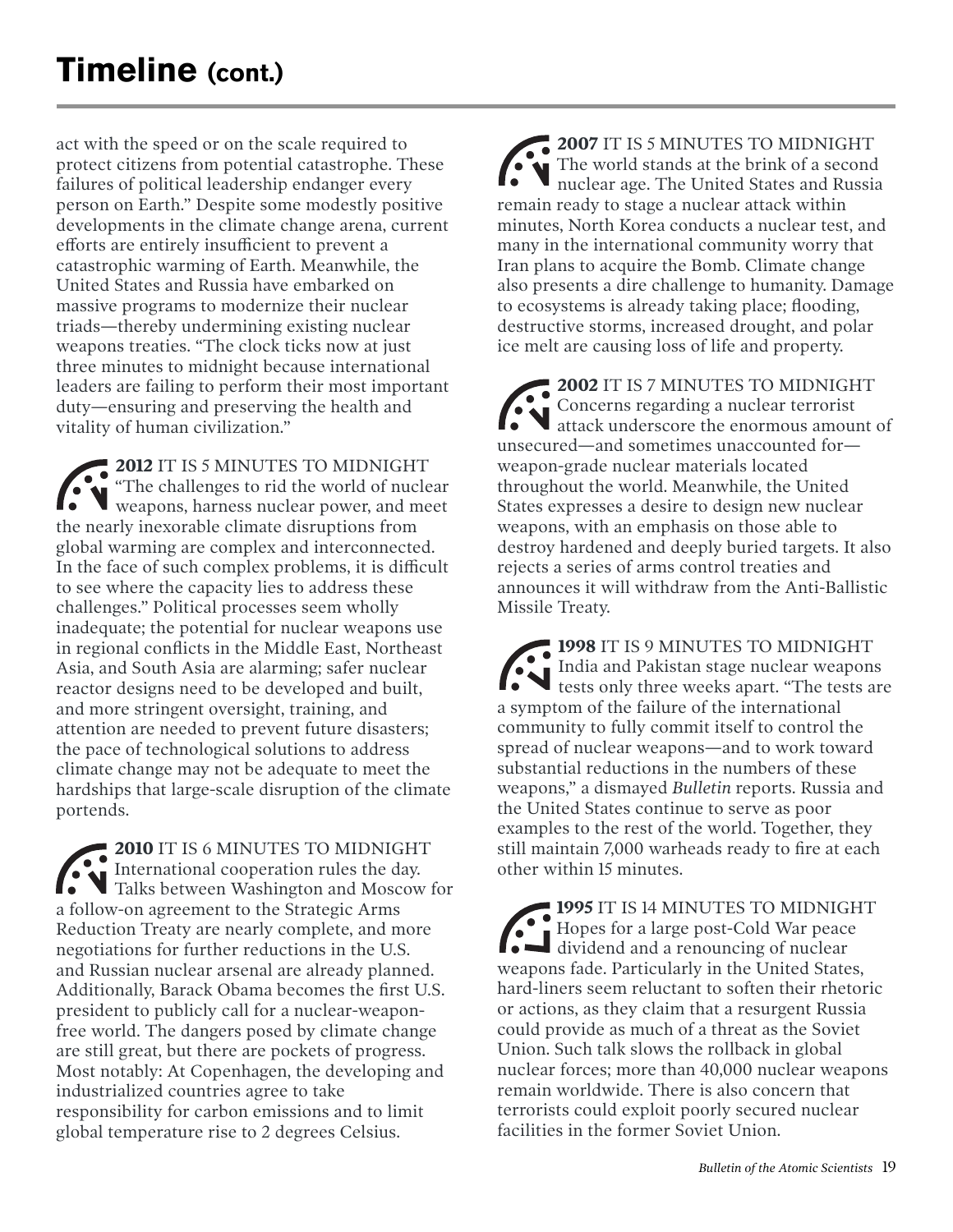act with the speed or on the scale required to protect citizens from potential catastrophe. These failures of political leadership endanger every person on Earth." Despite some modestly positive developments in the climate change arena, current efforts are entirely insufficient to prevent a catastrophic warming of Earth. Meanwhile, the United States and Russia have embarked on massive programs to modernize their nuclear triads—thereby undermining existing nuclear weapons treaties. "The clock ticks now at just three minutes to midnight because international leaders are failing to perform their most important duty—ensuring and preserving the health and vitality of human civilization."

**2012** IT IS 5 MINUTES TO MIDNIGHT "The challenges to rid the world of nuclear weapons, harness nuclear power, and meet the nearly inexorable climate disruptions from global warming are complex and interconnected. In the face of such complex problems, it is difficult to see where the capacity lies to address these challenges." Political processes seem wholly inadequate; the potential for nuclear weapons use in regional conflicts in the Middle East, Northeast Asia, and South Asia are alarming; safer nuclear reactor designs need to be developed and built, and more stringent oversight, training, and attention are needed to prevent future disasters; the pace of technological solutions to address climate change may not be adequate to meet the hardships that large-scale disruption of the climate portends.

**2010** IT IS 6 MINUTES TO MIDNIGHT International cooperation rules the day. Talks between Washington and Moscow for a follow-on agreement to the Strategic Arms Reduction Treaty are nearly complete, and more negotiations for further reductions in the U.S. and Russian nuclear arsenal are already planned. Additionally, Barack Obama becomes the first U.S. president to publicly call for a nuclear-weaponfree world. The dangers posed by climate change are still great, but there are pockets of progress. Most notably: At Copenhagen, the developing and industrialized countries agree to take responsibility for carbon emissions and to limit global temperature rise to 2 degrees Celsius.

**2007** IT IS 5 MINUTES TO MIDNIGHT The world stands at the brink of a second nuclear age. The United States and Russia remain ready to stage a nuclear attack within minutes, North Korea conducts a nuclear test, and many in the international community worry that Iran plans to acquire the Bomb. Climate change also presents a dire challenge to humanity. Damage to ecosystems is already taking place; flooding, destructive storms, increased drought, and polar ice melt are causing loss of life and property.

**2002** IT IS 7 MINUTES TO MIDNIGHT Concerns regarding a nuclear terrorist attack underscore the enormous amount of unsecured—and sometimes unaccounted for weapon-grade nuclear materials located throughout the world. Meanwhile, the United States expresses a desire to design new nuclear weapons, with an emphasis on those able to destroy hardened and deeply buried targets. It also rejects a series of arms control treaties and announces it will withdraw from the Anti-Ballistic Missile Treaty.

**1998** IT IS 9 MINUTES TO MIDNIGHT India and Pakistan stage nuclear weapons tests only three weeks apart. "The tests are a symptom of the failure of the international community to fully commit itself to control the spread of nuclear weapons—and to work toward substantial reductions in the numbers of these weapons," a dismayed *Bulletin* reports. Russia and the United States continue to serve as poor examples to the rest of the world. Together, they still maintain 7,000 warheads ready to fire at each other within 15 minutes.

**1995** IT IS 14 MINUTES TO MIDNIGHT Hopes for a large post-Cold War peace dividend and a renouncing of nuclear weapons fade. Particularly in the United States, hard-liners seem reluctant to soften their rhetoric or actions, as they claim that a resurgent Russia could provide as much of a threat as the Soviet Union. Such talk slows the rollback in global nuclear forces; more than 40,000 nuclear weapons remain worldwide. There is also concern that terrorists could exploit poorly secured nuclear facilities in the former Soviet Union.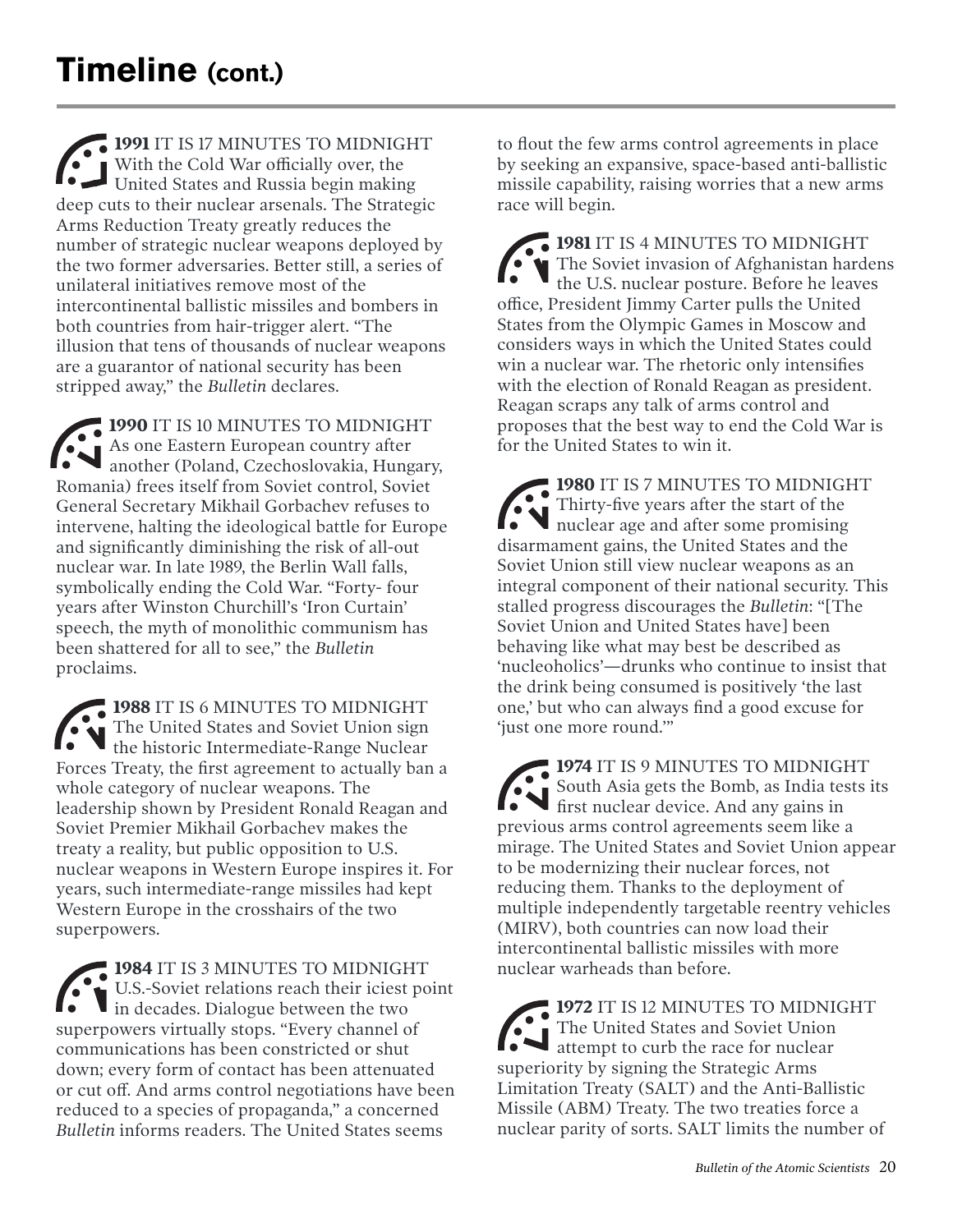**1991** IT IS 17 MINUTES TO MIDNIGHT With the Cold War officially over, the United States and Russia begin making deep cuts to their nuclear arsenals. The Strategic Arms Reduction Treaty greatly reduces the number of strategic nuclear weapons deployed by the two former adversaries. Better still, a series of unilateral initiatives remove most of the intercontinental ballistic missiles and bombers in both countries from hair-trigger alert. "The illusion that tens of thousands of nuclear weapons are a guarantor of national security has been stripped away," the *Bulletin* declares.

**1990** IT IS 10 MINUTES TO MIDNIGHT As one Eastern European country after another (Poland, Czechoslovakia, Hungary, Romania) frees itself from Soviet control, Soviet General Secretary Mikhail Gorbachev refuses to intervene, halting the ideological battle for Europe and significantly diminishing the risk of all-out nuclear war. In late 1989, the Berlin Wall falls, symbolically ending the Cold War. "Forty- four years after Winston Churchill's 'Iron Curtain' speech, the myth of monolithic communism has been shattered for all to see," the *Bulletin*  proclaims.

**1988** IT IS 6 MINUTES TO MIDNIGHT The United States and Soviet Union sign the historic Intermediate-Range Nuclear Forces Treaty, the first agreement to actually ban a whole category of nuclear weapons. The leadership shown by President Ronald Reagan and Soviet Premier Mikhail Gorbachev makes the treaty a reality, but public opposition to U.S. nuclear weapons in Western Europe inspires it. For years, such intermediate-range missiles had kept Western Europe in the crosshairs of the two superpowers.

**1984** IT IS 3 MINUTES TO MIDNIGHT U.S.-Soviet relations reach their iciest point in decades. Dialogue between the two superpowers virtually stops. "Every channel of communications has been constricted or shut down; every form of contact has been attenuated or cut off. And arms control negotiations have been reduced to a species of propaganda," a concerned *Bulletin* informs readers. The United States seems

to flout the few arms control agreements in place by seeking an expansive, space-based anti-ballistic missile capability, raising worries that a new arms race will begin.

**1981** IT IS 4 MINUTES TO MIDNIGHT The Soviet invasion of Afghanistan hardens the U.S. nuclear posture. Before he leaves office, President Jimmy Carter pulls the United States from the Olympic Games in Moscow and considers ways in which the United States could win a nuclear war. The rhetoric only intensifies with the election of Ronald Reagan as president. Reagan scraps any talk of arms control and proposes that the best way to end the Cold War is for the United States to win it.

**1980** IT IS 7 MINUTES TO MIDNIGHT Thirty-five years after the start of the nuclear age and after some promising disarmament gains, the United States and the Soviet Union still view nuclear weapons as an integral component of their national security. This stalled progress discourages the *Bulletin*: "[The Soviet Union and United States have] been behaving like what may best be described as 'nucleoholics'—drunks who continue to insist that the drink being consumed is positively 'the last one,' but who can always find a good excuse for 'just one more round.'"

**1974** IT IS 9 MINUTES TO MIDNIGHT South Asia gets the Bomb, as India tests its first nuclear device. And any gains in previous arms control agreements seem like a mirage. The United States and Soviet Union appear to be modernizing their nuclear forces, not reducing them. Thanks to the deployment of multiple independently targetable reentry vehicles (MIRV), both countries can now load their intercontinental ballistic missiles with more nuclear warheads than before.

**1972** IT IS 12 MINUTES TO MIDNIGHT The United States and Soviet Union attempt to curb the race for nuclear superiority by signing the Strategic Arms Limitation Treaty (SALT) and the Anti-Ballistic Missile (ABM) Treaty. The two treaties force a nuclear parity of sorts. SALT limits the number of